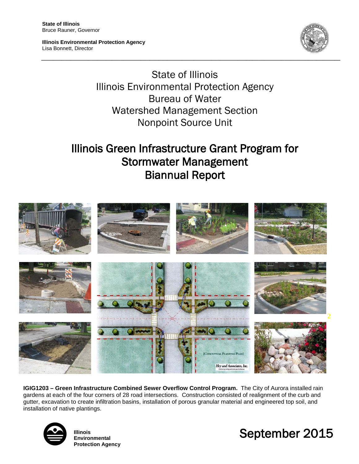Ī

**Illinois Environmental Protection Agency** Lisa Bonnett, Director



State of Illinois Illinois Environmental Protection Agency Bureau of Water Watershed Management Section Nonpoint Source Unit

**\_\_\_\_\_\_\_\_\_\_\_\_\_\_\_\_\_\_\_\_\_\_\_\_\_\_\_\_\_\_\_\_\_\_\_\_\_\_\_\_\_\_\_\_\_\_\_\_\_\_\_\_\_\_\_\_\_\_\_\_\_\_\_\_\_\_\_\_\_\_\_\_\_\_\_\_\_\_\_\_\_\_\_\_\_\_\_\_\_\_\_\_\_\_\_\_\_\_\_\_\_\_**

# Illinois Green Infrastructure Grant Program for Stormwater Management Biannual Report



**IGIG1203 – Green Infrastructure Combined Sewer Overflow Control Program.** The City of Aurora installed rain gardens at each of the four corners of 28 road intersections. Construction consisted of realignment of the curb and gutter, excavation to create infiltration basins, installation of porous granular material and engineered top soil, and installation of native plantings.



**Illinois Environmental Protection Agency**

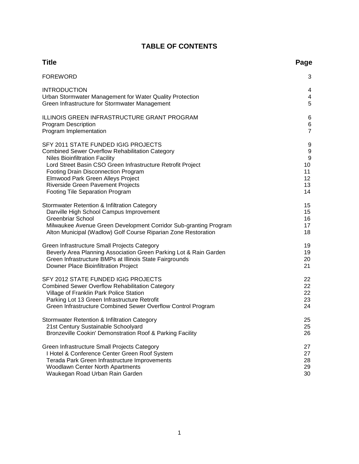# **TABLE OF CONTENTS**

| <b>Title</b>                                                      | Page             |
|-------------------------------------------------------------------|------------------|
| <b>FOREWORD</b>                                                   | 3                |
| <b>INTRODUCTION</b>                                               | 4                |
| Urban Stormwater Management for Water Quality Protection          | 4                |
| Green Infrastructure for Stormwater Management                    | 5                |
| ILLINOIS GREEN INFRASTRUCTURE GRANT PROGRAM                       | 6                |
| <b>Program Description</b>                                        | 6                |
| Program Implementation                                            | $\overline{7}$   |
| SFY 2011 STATE FUNDED IGIG PROJECTS                               | 9                |
| <b>Combined Sewer Overflow Rehabilitation Category</b>            | 9                |
| <b>Niles Bioinfiltration Facility</b>                             | $\boldsymbol{9}$ |
| Lord Street Basin CSO Green Infrastructure Retrofit Project       | 10               |
| Footing Drain Disconnection Program                               | 11               |
| Elmwood Park Green Alleys Project                                 | 12               |
| Riverside Green Pavement Projects                                 | 13               |
| Footing Tile Separation Program                                   | 14               |
| Stormwater Retention & Infiltration Category                      | 15               |
| Danville High School Campus Improvement                           | 15               |
| <b>Greenbriar School</b>                                          | 16               |
| Milwaukee Avenue Green Development Corridor Sub-granting Program  | 17               |
| Alton Municipal (Wadlow) Golf Course Riparian Zone Restoration    | 18               |
| Green Infrastructure Small Projects Category                      | 19               |
| Beverly Area Planning Association Green Parking Lot & Rain Garden | 19               |
| Green Infrastructure BMPs at Illinois State Fairgrounds           | 20               |
| Downer Place Bioinfiltration Project                              | 21               |
| SFY 2012 STATE FUNDED IGIG PROJECTS                               | 22               |
| <b>Combined Sewer Overflow Rehabilitation Category</b>            | 22               |
| Village of Franklin Park Police Station                           | 22               |
| Parking Lot 13 Green Infrastructure Retrofit                      | 23               |
| Green Infrastructure Combined Sewer Overflow Control Program      | 24               |
| Stormwater Retention & Infiltration Category                      | 25               |
| 21st Century Sustainable Schoolyard                               | 25               |
| Bronzeville Cookin' Demonstration Roof & Parking Facility         | 26               |
| Green Infrastructure Small Projects Category                      | 27               |
| I Hotel & Conference Center Green Roof System                     | 27               |
| Terada Park Green Infrastructure Improvements                     | 28               |
| Woodlawn Center North Apartments                                  | 29               |
| Waukegan Road Urban Rain Garden                                   | 30               |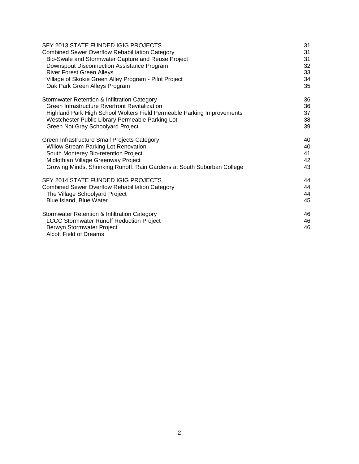| SFY 2013 STATE FUNDED IGIG PROJECTS                                     | 31 |
|-------------------------------------------------------------------------|----|
| <b>Combined Sewer Overflow Rehabilitation Category</b>                  | 31 |
| Bio-Swale and Stormwater Capture and Reuse Project                      | 31 |
| Downspout Disconnection Assistance Program                              | 32 |
| <b>River Forest Green Alleys</b>                                        | 33 |
| Village of Skokie Green Alley Program - Pilot Project                   | 34 |
| Oak Park Green Alleys Program                                           | 35 |
| Stormwater Retention & Infiltration Category                            | 36 |
| Green Infrastructure Riverfront Revitalization                          | 36 |
| Highland Park High School Wolters Field Permeable Parking Improvements  | 37 |
| Westchester Public Library Permeable Parking Lot                        | 38 |
| Green Not Gray Schoolyard Project                                       | 39 |
| Green Infrastructure Small Projects Category                            | 40 |
| Willow Stream Parking Lot Renovation                                    | 40 |
| South Monterey Bio-retention Project                                    | 41 |
| Midlothian Village Greenway Project                                     | 42 |
| Growing Minds, Shrinking Runoff: Rain Gardens at South Suburban College | 43 |
| SFY 2014 STATE FUNDED IGIG PROJECTS                                     | 44 |
| <b>Combined Sewer Overflow Rehabilitation Category</b>                  | 44 |
| The Village Schoolyard Project                                          | 44 |
| Blue Island, Blue Water                                                 | 45 |
| Stormwater Retention & Infiltration Category                            | 46 |
| <b>LCCC Stormwater Runoff Reduction Project</b>                         | 46 |
| Berwyn Stormwater Project<br><b>Alcott Field of Dreams</b>              | 46 |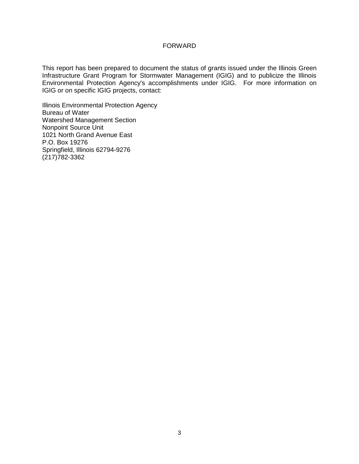# FORWARD

This report has been prepared to document the status of grants issued under the Illinois Green Infrastructure Grant Program for Stormwater Management (IGIG) and to publicize the Illinois Environmental Protection Agency's accomplishments under IGIG.For more information on IGIG or on specific IGIG projects, contact:

Illinois Environmental Protection Agency Bureau of Water Watershed Management Section Nonpoint Source Unit 1021 North Grand Avenue East P.O. Box 19276 Springfield, Illinois 62794-9276 (217)782-3362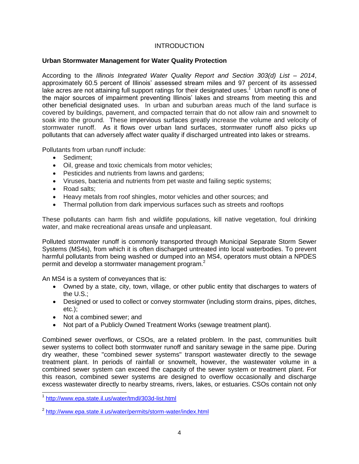# **INTRODUCTION**

# **Urban Stormwater Management for Water Quality Protection**

According to the *Illinois Integrated Water Quality Report and Section 303(d) List – 2014*, approximately 60.5 percent of Illinois' assessed stream miles and 97 percent of its assessed lake acres are not attaining full support ratings for their designated uses. *1* Urban runoff is one of the major sources of impairment preventing Illinois' lakes and streams from meeting this and other beneficial designated uses. In urban and suburban areas much of the land surface is covered by buildings, pavement, and compacted terrain that do not allow rain and snowmelt to soak into the ground. These impervious surfaces greatly increase the volume and velocity of stormwater runoff. As it flows over urban land surfaces, stormwater runoff also picks up pollutants that can adversely affect water quality if discharged untreated into lakes or streams.

Pollutants from urban runoff include:

- Sediment:
- Oil, grease and toxic chemicals from motor vehicles;
- Pesticides and nutrients from lawns and gardens;
- Viruses, bacteria and nutrients from pet waste and failing septic systems;
- Road salts:
- Heavy metals from roof shingles, motor vehicles and other sources; and
- Thermal pollution from dark impervious surfaces such as streets and rooftops

These pollutants can harm fish and wildlife populations, kill native vegetation, foul drinking water, and make recreational areas unsafe and unpleasant.

Polluted stormwater runoff is commonly transported through Municipal Separate Storm Sewer Systems (MS4s), from which it is often discharged untreated into local waterbodies. To prevent harmful pollutants from being washed or dumped into an MS4, operators must obtain a NPDES permit and develop a stormwater management program.<sup>2</sup>

An MS4 is a system of conveyances that is:

- Owned by a state, city, town, village, or other public entity that discharges to waters of the U.S.;
- Designed or used to collect or convey stormwater (including storm drains, pipes, ditches, etc.);
- Not a combined sewer; and
- Not part of a Publicly Owned Treatment Works (sewage treatment plant).

Combined sewer overflows, or CSOs, are a related problem. In the past, communities built sewer systems to collect both stormwater runoff and sanitary sewage in the same pipe. During dry weather, these "combined sewer systems" transport wastewater directly to the sewage treatment plant. In periods of rainfall or snowmelt, however, the wastewater volume in a combined sewer system can exceed the capacity of the sewer system or treatment plant. For this reason, combined sewer systems are designed to overflow occasionally and discharge excess wastewater directly to nearby streams, rivers, lakes, or estuaries. CSOs contain not only

 1 <http://www.epa.state.il.us/water/tmdl/303d-list.html>

<sup>&</sup>lt;sup>2</sup> <http://www.epa.state.il.us/water/permits/storm-water/index.html>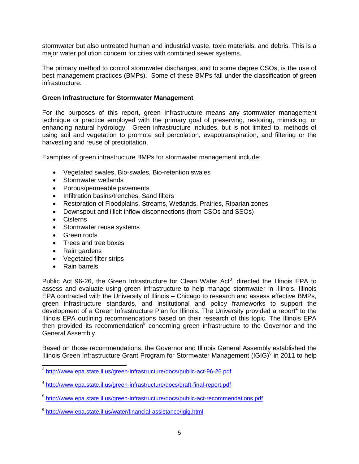stormwater but also untreated human and industrial waste, toxic materials, and debris. This is a major water pollution concern for cities with combined sewer systems.

The primary method to control stormwater discharges, and to some degree CSOs, is the use of best management practices (BMPs). Some of these BMPs fall under the classification of green infrastructure.

# **Green Infrastructure for Stormwater Management**

For the purposes of this report, green Infrastructure means any stormwater management technique or practice employed with the primary goal of preserving, restoring, mimicking, or enhancing natural hydrology. Green infrastructure includes, but is not limited to, methods of using soil and vegetation to promote soil percolation, evapotranspiration, and filtering or the harvesting and reuse of precipitation.

Examples of green infrastructure BMPs for stormwater management include:

- Vegetated swales, Bio-swales, Bio-retention swales
- Stormwater wetlands
- Porous/permeable pavements
- Infiltration basins/trenches, Sand filters
- Restoration of Floodplains, Streams, Wetlands, Prairies, Riparian zones
- Downspout and illicit inflow disconnections (from CSOs and SSOs)
- Cisterns
- Stormwater reuse systems
- Green roofs
- Trees and tree boxes
- Rain gardens
- Vegetated filter strips
- Rain barrels

Public Act 96-26, the Green Infrastructure for Clean Water Act<sup>3</sup>, directed the Illinois EPA to assess and evaluate using green infrastructure to help manage stormwater in Illinois. Illinois EPA contracted with the University of Illinois – Chicago to research and assess effective BMPs, green infrastructure standards, and institutional and policy frameworks to support the development of a Green Infrastructure Plan for Illinois. The University provided a report<sup>4</sup> to the Illinois EPA outlining recommendations based on their research of this topic. The Illinois EPA then provided its recommendation<sup>5</sup> concerning green infrastructure to the Governor and the General Assembly.

Based on those recommendations, the Governor and Illinois General Assembly established the Illinois Green Infrastructure Grant Program for Stormwater Management (IGIG) $^6$  in 2011 to help

 3 <http://www.epa.state.il.us/green-infrastructure/docs/public-act-96-26.pdf>

<sup>&</sup>lt;sup>4</sup> <http://www.epa.state.il.us/green-infrastructure/docs/draft-final-report.pdf>

<sup>&</sup>lt;sup>5</sup> <http://www.epa.state.il.us/green-infrastructure/docs/public-act-recommendations.pdf>

<sup>6</sup> <http://www.epa.state.il.us/water/financial-assistance/igig.html>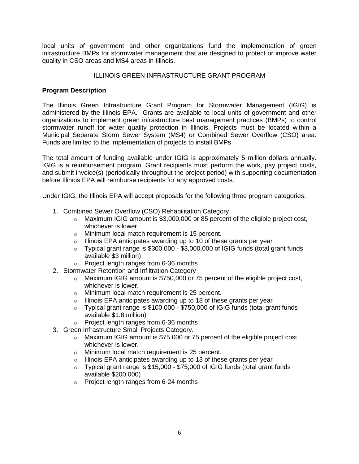local units of government and other organizations fund the implementation of green infrastructure BMPs for stormwater management that are designed to protect or improve water quality in CSO areas and MS4 areas in Illinois.

# ILLINOIS GREEN INFRASTRUCTURE GRANT PROGRAM

# **Program Description**

The Illinois Green Infrastructure Grant Program for Stormwater Management (IGIG) is administered by the Illinois EPA. Grants are available to local units of government and other organizations to implement green infrastructure best management practices (BMPs) to control stormwater runoff for water quality protection in Illinois. Projects must be located within a Municipal Separate Storm Sewer System (MS4) or Combined Sewer Overflow (CSO) area. Funds are limited to the implementation of projects to install BMPs.

The total amount of funding available under IGIG is approximately 5 million dollars annually. IGIG is a reimbursement program. Grant recipients must perform the work, pay project costs, and submit invoice(s) (periodically throughout the project period) with supporting documentation before Illinois EPA will reimburse recipients for any approved costs.

Under IGIG, the Illinois EPA will accept proposals for the following three program categories:

- 1. Combined Sewer Overflow (CSO) Rehabilitation Category
	- $\circ$  Maximum IGIG amount is \$3,000,000 or 85 percent of the eligible project cost, whichever is lower.
	- o Minimum local match requirement is 15 percent.
	- $\circ$  Illinois EPA anticipates awarding up to 10 of these grants per year
	- $\circ$  Typical grant range is \$300,000 \$3,000,000 of IGIG funds (total grant funds available \$3 million)
	- o Project length ranges from 6-36 months
- 2. Stormwater Retention and Infiltration Category
	- $\circ$  Maximum IGIG amount is \$750,000 or 75 percent of the eligible project cost, whichever is lower.
	- o Minimum local match requirement is 25 percent.
	- $\circ$  Illinois EPA anticipates awarding up to 18 of these grants per year
	- o Typical grant range is \$100,000 \$750,000 of IGIG funds (total grant funds available \$1.8 million)
	- o Project length ranges from 6-36 months
- 3. Green Infrastructure Small Projects Category.
	- o Maximum IGIG amount is \$75,000 or 75 percent of the eligible project cost, whichever is lower.
	- o Minimum local match requirement is 25 percent.
	- $\circ$  Illinois EPA anticipates awarding up to 13 of these grants per year
	- $\circ$  Typical grant range is \$15,000 \$75,000 of IGIG funds (total grant funds available \$200,000)
	- o Project length ranges from 6-24 months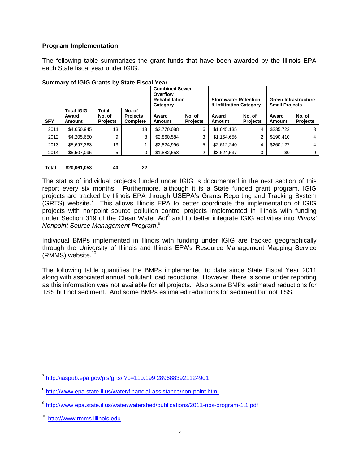# **Program Implementation**

The following table summarizes the grant funds that have been awarded by the Illinois EPA each State fiscal year under IGIG.

|            |                                             |                                    | <b>Combined Sewer</b><br>Overflow<br><b>Rehabilitation</b><br>Category |                        | <b>Stormwater Retention</b><br>& Infiltration Category |                 | <b>Green Infrastructure</b><br><b>Small Projects</b> |                        |                           |
|------------|---------------------------------------------|------------------------------------|------------------------------------------------------------------------|------------------------|--------------------------------------------------------|-----------------|------------------------------------------------------|------------------------|---------------------------|
| <b>SFY</b> | <b>Total IGIG</b><br>Award<br><b>Amount</b> | Total<br>No. of<br><b>Projects</b> | No. of<br><b>Projects</b><br>Complete                                  | Award<br><b>Amount</b> | No. of<br><b>Projects</b>                              | Award<br>Amount | No. of<br><b>Projects</b>                            | Award<br><b>Amount</b> | No. of<br><b>Projects</b> |
| 2011       | \$4,650,945                                 | 13                                 | 13                                                                     | \$2,770,088            | 6                                                      | \$1,645,135     | 4                                                    | \$235,722              |                           |
| 2012       | \$4,205,650                                 | 9                                  | 8                                                                      | \$2,860,584            | 3                                                      | \$1,154,656     | 2                                                    | \$190.410              | 4                         |
| 2013       | \$5,697,363                                 | 13                                 |                                                                        | \$2,824,996            | 5                                                      | \$2,612,240     | 4                                                    | \$260.127              | 4                         |
| 2014       | \$5,507,095                                 | 5                                  | 0                                                                      | \$1,882,558            | 2                                                      | \$3,624,537     | 3                                                    | \$0                    | 0                         |

#### **Summary of IGIG Grants by State Fiscal Year**

# **Total \$20,061,053 40 22**

The status of individual projects funded under IGIG is documented in the next section of this report every six months. Furthermore, although it is a State funded grant program, IGIG projects are tracked by Illinois EPA through USEPA's Grants Reporting and Tracking System  $(GRTS)$  website.<sup>7</sup> This allows Illinois EPA to better coordinate the implementation of IGIG projects with nonpoint source pollution control projects implemented in Illinois with funding under Section 319 of the Clean Water Act<sup>8</sup> and to better integrate IGIG activities into *Illinois' Nonpoint Source Management Program*. 9

Individual BMPs implemented in Illinois with funding under IGIG are tracked geographically through the University of Illinois and Illinois EPA's Resource Management Mapping Service (RMMS) website. 10

The following table quantifies the BMPs implemented to date since State Fiscal Year 2011 along with associated annual pollutant load reductions. However, there is some under reporting as this information was not available for all projects. Also some BMPs estimated reductions for TSS but not sediment. And some BMPs estimated reductions for sediment but not TSS.

 7 <http://iaspub.epa.gov/pls/grts/f?p=110:199:2896883921124901>

<sup>&</sup>lt;sup>8</sup> <http://www.epa.state.il.us/water/financial-assistance/non-point.html>

<sup>&</sup>lt;sup>9</sup> <http://www.epa.state.il.us/water/watershed/publications/2011-nps-program-1.1.pdf>

<sup>10</sup> [http://www.rmms.illinois.edu](http://www.rmms.illinois.edu/)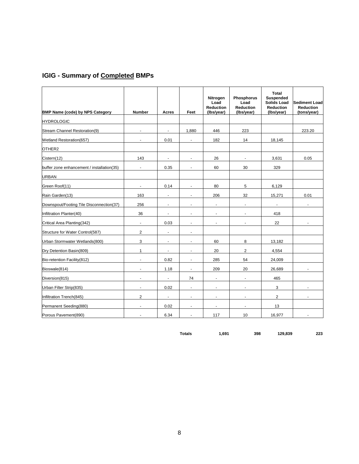# **IGIG - Summary of Completed BMPs**

| <b>BMP Name (code) by NPS Category</b>     | <b>Number</b>            | Acres                    | Feet                  | Nitrogen<br>Load<br><b>Reduction</b><br>(Ibs/year) | <b>Phosphorus</b><br>Load<br><b>Reduction</b><br>(Ibs/year) | Total<br><b>Suspended</b><br>Solids Load<br><b>Reduction</b><br>(Ibs/year) | <b>Sediment Load</b><br><b>Reduction</b><br>(tons/year) |
|--------------------------------------------|--------------------------|--------------------------|-----------------------|----------------------------------------------------|-------------------------------------------------------------|----------------------------------------------------------------------------|---------------------------------------------------------|
| <b>HYDROLOGIC</b>                          |                          |                          |                       |                                                    |                                                             |                                                                            |                                                         |
| Stream Channel Restoration(9)              | ä,                       | ä,                       | 1,880                 | 446                                                | 223                                                         |                                                                            | 223.20                                                  |
| Wetland Restoration(657)                   | $\blacksquare$           | 0.01                     | $\blacksquare$        | 182                                                | 14                                                          | 18,145                                                                     |                                                         |
| OTHER2                                     |                          |                          |                       |                                                    |                                                             |                                                                            |                                                         |
| Cistern(12)                                | 143                      | $\blacksquare$           | $\overline{a}$        | 26                                                 | $\blacksquare$                                              | 3,631                                                                      | 0.05                                                    |
| buffer zone enhancement / installation(35) | $\blacksquare$           | 0.35                     | ä,                    | 60                                                 | 30                                                          | 329                                                                        |                                                         |
| <b>URBAN</b>                               |                          |                          |                       |                                                    |                                                             |                                                                            |                                                         |
| Green Roof(11)                             | $\blacksquare$           | 0.14                     | $\blacksquare$        | 80                                                 | 5                                                           | 6,129                                                                      |                                                         |
| Rain Garden(13)                            | 163                      | $\blacksquare$           | $\blacksquare$        | 206                                                | 32                                                          | 15,271                                                                     | 0.01                                                    |
| Downspout/Footing Tile Disconnection(37)   | 256                      | $\blacksquare$           | $\blacksquare$        | $\blacksquare$                                     | $\blacksquare$                                              | $\blacksquare$                                                             | $\blacksquare$                                          |
| Infiltration Planter(40)                   | 36                       | $\overline{\phantom{a}}$ | $\blacksquare$        | $\blacksquare$                                     |                                                             | 418                                                                        |                                                         |
| Critical Area Planting(342)                | ÷.                       | 0.03                     | ä,                    | $\blacksquare$                                     | $\blacksquare$                                              | 22                                                                         | $\blacksquare$                                          |
| Structure for Water Control(587)           | $\overline{2}$           | ÷,                       | ÷.                    |                                                    |                                                             |                                                                            |                                                         |
| Urban Stormwater Wetlands(800)             | 3                        | ä,                       | $\tilde{\phantom{a}}$ | 60                                                 | 8                                                           | 13,182                                                                     |                                                         |
| Dry Detention Basin(809)                   | $\mathbf{1}$             | $\blacksquare$           | $\blacksquare$        | 20                                                 | $\overline{2}$                                              | 4,554                                                                      |                                                         |
| Bio-retention Facility(812)                | $\blacksquare$           | 0.82                     | $\blacksquare$        | 285                                                | 54                                                          | 24,009                                                                     |                                                         |
| Bioswale(814)                              | $\overline{\phantom{a}}$ | 1.18                     | $\blacksquare$        | 209                                                | 20                                                          | 26,689                                                                     | $\blacksquare$                                          |
| Diversion (815)                            | $\blacksquare$           | $\blacksquare$           | 74                    | $\blacksquare$                                     | $\blacksquare$                                              | 465                                                                        |                                                         |
| Urban Filter Strip(835)                    | ÷,                       | 0.02                     | $\blacksquare$        | $\overline{\phantom{a}}$                           | ä,                                                          | 3                                                                          | ÷                                                       |
| Infiltration Trench(845)                   | $\overline{2}$           | $\blacksquare$           | $\tilde{\phantom{a}}$ | $\blacksquare$                                     | $\blacksquare$                                              | $\overline{2}$                                                             | $\blacksquare$                                          |
| Permanent Seeding(880)                     | $\blacksquare$           | 0.02                     | $\tilde{\phantom{a}}$ | $\blacksquare$                                     | ÷,                                                          | 13                                                                         |                                                         |
| Porous Pavement(890)                       |                          | 6.34                     | ÷.                    | 117                                                | 10                                                          | 16,977                                                                     |                                                         |

**Totals 1,691 398 129,839 223**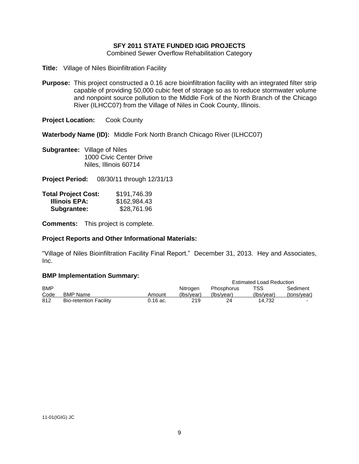# **SFY 2011 STATE FUNDED IGIG PROJECTS**

Combined Sewer Overflow Rehabilitation Category

- **Title:** Village of Niles Bioinfiltration Facility
- **Purpose:** This project constructed a 0.16 acre bioinfiltration facility with an integrated filter strip capable of providing 50,000 cubic feet of storage so as to reduce stormwater volume and nonpoint source pollution to the Middle Fork of the North Branch of the Chicago River (ILHCC07) from the Village of Niles in Cook County, Illinois.

**Project Location:** Cook County

**Waterbody Name (ID):** Middle Fork North Branch Chicago River (ILHCC07)

**Subgrantee:** Village of Niles 1000 Civic Center Drive Niles, Illinois 60714

**Project Period:** 08/30/11 through 12/31/13

| <b>Total Project Cost:</b> | \$191,746.39 |
|----------------------------|--------------|
| Illinois EPA:              | \$162,984.43 |
| Subgrantee:                | \$28,761.96  |

**Comments:** This project is complete.

# **Project Reports and Other Informational Materials:**

"Village of Niles Bioinfiltration Facility Final Report." December 31, 2013. Hey and Associates, Inc.

|            |                               |          |            |                   | <b>Estimated Load Reduction</b> |             |
|------------|-------------------------------|----------|------------|-------------------|---------------------------------|-------------|
| <b>BMP</b> |                               |          | Nitrogen   | <b>Phosphorus</b> | TSS                             | Sediment    |
| Code       | <b>BMP Name</b>               | Amount   | (Ibs/vear) | (Ibs/vear)        | (Ibs/vear)                      | (tons/vear) |
| 812        | <b>Bio-retention Facility</b> | 0.16 ac. | 219        | 24                | 14.732                          |             |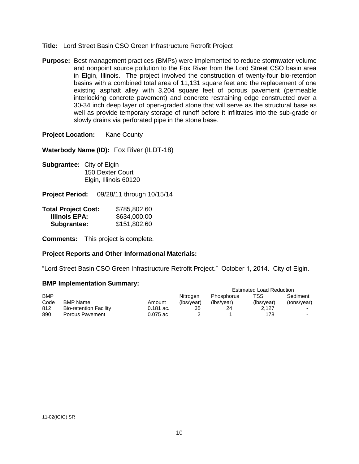- **Title:** Lord Street Basin CSO Green Infrastructure Retrofit Project
- **Purpose:** Best management practices (BMPs) were implemented to reduce stormwater volume and nonpoint source pollution to the Fox River from the Lord Street CSO basin area in Elgin, Illinois. The project involved the construction of twenty-four bio-retention basins with a combined total area of 11,131 square feet and the replacement of one existing asphalt alley with 3,204 square feet of porous pavement (permeable interlocking concrete pavement) and concrete restraining edge constructed over a 30-34 inch deep layer of open-graded stone that will serve as the structural base as well as provide temporary storage of runoff before it infiltrates into the sub-grade or slowly drains via perforated pipe in the stone base.

**Project Location:** Kane County

**Waterbody Name (ID):** Fox River (ILDT-18)

- **Subgrantee:** City of Elgin 150 Dexter Court Elgin, Illinois 60120
- **Project Period:** 09/28/11 through 10/15/14

| <b>Total Project Cost:</b> | \$785,802.60 |
|----------------------------|--------------|
| Illinois EPA:              | \$634,000.00 |
| Subgrantee:                | \$151,802.60 |

**Comments:** This project is complete.

# **Project Reports and Other Informational Materials:**

"Lord Street Basin CSO Green Infrastructure Retrofit Project." October 1, 2014. City of Elgin.

|            |                               |             | <b>Estimated Load Reduction</b> |                   |            |             |  |
|------------|-------------------------------|-------------|---------------------------------|-------------------|------------|-------------|--|
| <b>BMP</b> |                               |             | Nitrogen                        | <b>Phosphorus</b> | TSS        | Sediment    |  |
| Code       | <b>BMP Name</b>               | Amount      | (Ibs/vear)                      | (Ibs/vear)        | (Ibs/vear) | (tons/year) |  |
| 812        | <b>Bio-retention Facility</b> | $0.181$ ac. | 35                              | 24                | 2.127      | $\sim$      |  |
| 890        | Porous Pavement               | $0.075$ ac  |                                 |                   | 178        | $\sim$      |  |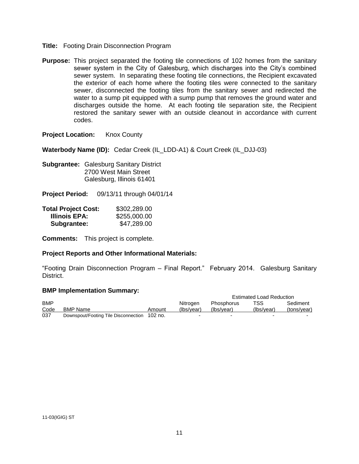- **Title:** Footing Drain Disconnection Program
- **Purpose:** This project separated the footing tile connections of 102 homes from the sanitary sewer system in the City of Galesburg, which discharges into the City's combined sewer system. In separating these footing tile connections, the Recipient excavated the exterior of each home where the footing tiles were connected to the sanitary sewer, disconnected the footing tiles from the sanitary sewer and redirected the water to a sump pit equipped with a sump pump that removes the ground water and discharges outside the home. At each footing tile separation site, the Recipient restored the sanitary sewer with an outside cleanout in accordance with current codes.

**Project Location:** Knox County

**Waterbody Name (ID):** Cedar Creek (IL\_LDD-A1) & Court Creek (IL\_DJJ-03)

**Subgrantee:** Galesburg Sanitary District 2700 West Main Street Galesburg, Illinois 61401

**Project Period:** 09/13/11 through 04/01/14

| <b>Total Project Cost:</b> | \$302,289.00 |
|----------------------------|--------------|
| Illinois EPA:              | \$255,000.00 |
| Subgrantee:                | \$47,289.00  |

**Comments:** This project is complete.

# **Project Reports and Other Informational Materials:**

"Footing Drain Disconnection Program – Final Report." February 2014. Galesburg Sanitary District.

|            | $\blacksquare$                               |        |            |                          |                                 |             |
|------------|----------------------------------------------|--------|------------|--------------------------|---------------------------------|-------------|
|            |                                              |        |            |                          | <b>Estimated Load Reduction</b> |             |
| <b>BMP</b> |                                              |        | Nitrogen   | <b>Phosphorus</b>        | TSS                             | Sediment    |
| Code       | <b>BMP Name</b>                              | Amount | (Ibs/vear) | (Ibs/vear)               | (Ibs/vear)                      | (tons/year) |
| 037        | Downspout/Footing Tile Disconnection 102 no. |        |            | $\overline{\phantom{0}}$ |                                 |             |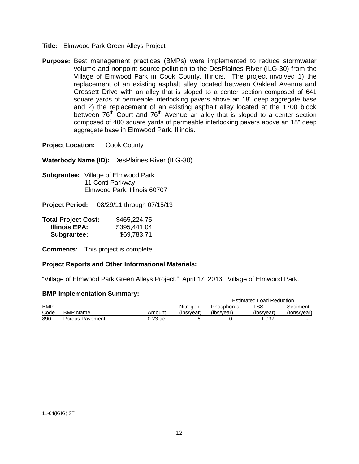- **Title:** Elmwood Park Green Alleys Project
- **Purpose:** Best management practices (BMPs) were implemented to reduce stormwater volume and nonpoint source pollution to the DesPlaines River (ILG-30) from the Village of Elmwood Park in Cook County, Illinois. The project involved 1) the replacement of an existing asphalt alley located between Oakleaf Avenue and Cressett Drive with an alley that is sloped to a center section composed of 641 square yards of permeable interlocking pavers above an 18" deep aggregate base and 2) the replacement of an existing asphalt alley located at the 1700 block between  $76<sup>th</sup>$  Court and  $76<sup>th</sup>$  Avenue an alley that is sloped to a center section composed of 400 square yards of permeable interlocking pavers above an 18" deep aggregate base in Elmwood Park, Illinois.

**Waterbody Name (ID):** DesPlaines River (ILG-30)

**Subgrantee:** Village of Elmwood Park 11 Conti Parkway Elmwood Park, Illinois 60707

**Project Period:** 08/29/11 through 07/15/13

| <b>Total Project Cost:</b> | \$465,224.75 |
|----------------------------|--------------|
| Illinois EPA:              | \$395,441.04 |
| Subgrantee:                | \$69,783.71  |

**Comments:** This project is complete.

#### **Project Reports and Other Informational Materials:**

"Village of Elmwood Park Green Alleys Project." April 17, 2013. Village of Elmwood Park.

|            |                 |            |            |                   | <b>Estimated Load Reduction</b> |             |
|------------|-----------------|------------|------------|-------------------|---------------------------------|-------------|
| <b>BMP</b> |                 |            | Nitrogen   | <b>Phosphorus</b> | TSS                             | Sediment    |
| Code       | <b>BMP Name</b> | Amount     | (Ibs/vear) | (Ibs/vear)        | (Ibs/vear)                      | (tons/year) |
| 890        | Porous Pavement | $0.23$ ac. |            |                   | 1.037                           |             |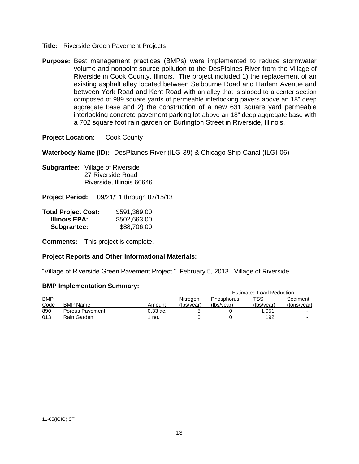- **Title:** Riverside Green Pavement Projects
- **Purpose:** Best management practices (BMPs) were implemented to reduce stormwater volume and nonpoint source pollution to the DesPlaines River from the Village of Riverside in Cook County, Illinois. The project included 1) the replacement of an existing asphalt alley located between Selbourne Road and Harlem Avenue and between York Road and Kent Road with an alley that is sloped to a center section composed of 989 square yards of permeable interlocking pavers above an 18" deep aggregate base and 2) the construction of a new 631 square yard permeable interlocking concrete pavement parking lot above an 18" deep aggregate base with a 702 square foot rain garden on Burlington Street in Riverside, Illinois.

**Waterbody Name (ID):** DesPlaines River (ILG-39) & Chicago Ship Canal (ILGI-06)

**Subgrantee:** Village of Riverside 27 Riverside Road Riverside, Illinois 60646

**Project Period:** 09/21/11 through 07/15/13

| <b>Total Project Cost:</b> | \$591,369.00 |
|----------------------------|--------------|
| Illinois EPA:              | \$502,663.00 |
| Subgrantee:                | \$88,706.00  |

**Comments:** This project is complete.

#### **Project Reports and Other Informational Materials:**

"Village of Riverside Green Pavement Project." February 5, 2013. Village of Riverside.

|            |                 |            |            |                   | <b>Estimated Load Reduction</b> |             |
|------------|-----------------|------------|------------|-------------------|---------------------------------|-------------|
| <b>BMP</b> |                 |            | Nitrogen   | <b>Phosphorus</b> | TSS                             | Sediment    |
| Code       | <b>BMP Name</b> | Amount     | (Ibs/vear) | (Ibs/vear)        | (Ibs/vear)                      | (tons/year) |
| 890        | Porous Pavement | $0.33$ ac. |            |                   | 1.051                           |             |
| 013        | Rain Garden     | no.        |            |                   | 192                             | -           |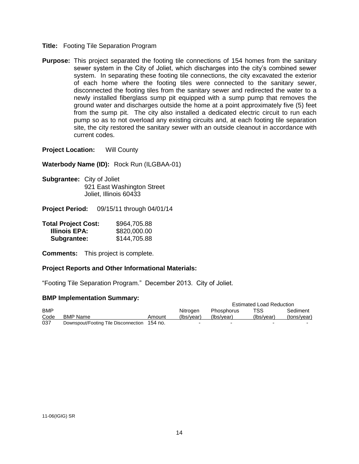- **Title:** Footing Tile Separation Program
- **Purpose:** This project separated the footing tile connections of 154 homes from the sanitary sewer system in the City of Joliet, which discharges into the city's combined sewer system. In separating these footing tile connections, the city excavated the exterior of each home where the footing tiles were connected to the sanitary sewer, disconnected the footing tiles from the sanitary sewer and redirected the water to a newly installed fiberglass sump pit equipped with a sump pump that removes the ground water and discharges outside the home at a point approximately five (5) feet from the sump pit. The city also installed a dedicated electric circuit to run each pump so as to not overload any existing circuits and, at each footing tile separation site, the city restored the sanitary sewer with an outside cleanout in accordance with current codes.

**Project Location:** Will County

**Waterbody Name (ID):** Rock Run (ILGBAA-01)

**Subgrantee:** City of Joliet 921 East Washington Street Joliet, Illinois 60433

**Project Period:** 09/15/11 through 04/01/14

| <b>Total Project Cost:</b> | \$964,705.88 |
|----------------------------|--------------|
| <b>Illinois EPA:</b>       | \$820,000.00 |
| Subgrantee:                | \$144,705.88 |

**Comments:** This project is complete.

# **Project Reports and Other Informational Materials:**

"Footing Tile Separation Program." December 2013. City of Joliet.

|            |                                              |        |            | <b>Estimated Load Reduction</b> |            |             |
|------------|----------------------------------------------|--------|------------|---------------------------------|------------|-------------|
| <b>BMP</b> |                                              |        | Nitrogen   | Phosphorus                      | TSS.       | Sediment    |
| Code       | <b>BMP Name</b>                              | Amount | (Ibs/vear) | (Ibs/vear)                      | (Ibs/vear) | (tons/vear) |
| 037        | Downspout/Footing Tile Disconnection 154 no. |        | -          |                                 |            |             |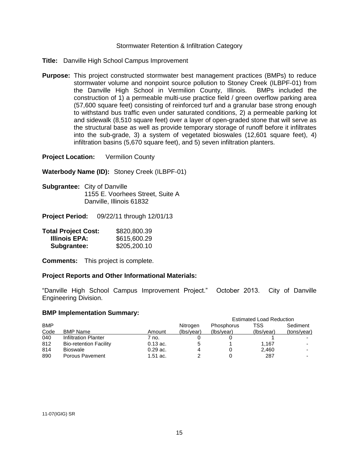# Stormwater Retention & Infiltration Category

- **Title:** Danville High School Campus Improvement
- **Purpose:** This project constructed stormwater best management practices (BMPs) to reduce stormwater volume and nonpoint source pollution to Stoney Creek (ILBPF-01) from the Danville High School in Vermilion County, Illinois. BMPs included the construction of 1) a permeable multi-use practice field / green overflow parking area (57,600 square feet) consisting of reinforced turf and a granular base strong enough to withstand bus traffic even under saturated conditions, 2) a permeable parking lot and sidewalk (8,510 square feet) over a layer of open-graded stone that will serve as the structural base as well as provide temporary storage of runoff before it infiltrates into the sub-grade, 3) a system of vegetated bioswales (12,601 square feet), 4) infiltration basins (5,670 square feet), and 5) seven infiltration planters.

**Project Location:** Vermilion County

**Waterbody Name (ID):** Stoney Creek (ILBPF-01)

**Subgrantee:** City of Danville 1155 E. Voorhees Street, Suite A Danville, Illinois 61832

**Project Period:** 09/22/11 through 12/01/13

| <b>Total Project Cost:</b> | \$820,800.39 |
|----------------------------|--------------|
| Illinois EPA:              | \$615,600.29 |
| Subgrantee:                | \$205,200.10 |

**Comments:** This project is complete.

# **Project Reports and Other Informational Materials:**

"Danville High School Campus Improvement Project." October 2013. City of Danville Engineering Division.

|            |                               |            |            | <b>Estimated Load Reduction</b> |            |             |
|------------|-------------------------------|------------|------------|---------------------------------|------------|-------------|
| <b>BMP</b> |                               |            | Nitrogen   | Phosphorus                      | TSS        | Sediment    |
| Code       | <b>BMP Name</b>               | Amount     | (lbs/year) | (Ibs/year)                      | (lbs/year) | (tons/year) |
| 040        | Infiltration Planter          | 7 no.      |            |                                 |            |             |
| 812        | <b>Bio-retention Facility</b> | $0.13$ ac. |            |                                 | 1.167      |             |
| 814        | <b>Bioswale</b>               | $0.29$ ac. |            |                                 | 2.460      |             |
| 890        | Porous Pavement               | $1.51$ ac. |            |                                 | 287        |             |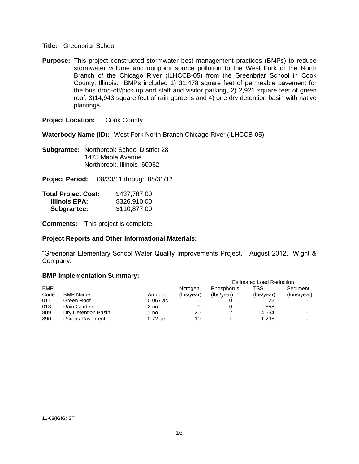#### **Title:** Greenbriar School

**Purpose:** This project constructed stormwater best management practices (BMPs) to reduce stormwater volume and nonpoint source pollution to the West Fork of the North Branch of the Chicago River (ILHCCB-05) from the Greenbriar School in Cook County, Illinois. BMPs included 1) 31,478 square feet of permeable pavement for the bus drop-off/pick up and staff and visitor parking, 2) 2,921 square feet of green roof, 3)14,943 square feet of rain gardens and 4) one dry detention basin with native plantings.

**Project Location:** Cook County

**Waterbody Name (ID):** West Fork North Branch Chicago River (ILHCCB-05)

**Subgrantee:** Northbrook School District 28 1475 Maple Avenue Northbrook, Illinois 60062

**Project Period:** 08/30/11 through 08/31/12

| <b>Total Project Cost:</b> | \$437,787.00 |
|----------------------------|--------------|
| <b>Illinois EPA:</b>       | \$326,910.00 |
| Subgrantee:                | \$110,877.00 |

**Comments:** This project is complete.

# **Project Reports and Other Informational Materials:**

"Greenbriar Elementary School Water Quality Improvements Project." August 2012. Wight & Company.

|            |                     |             |            | <b>Estimated Load Reduction</b> |            |             |
|------------|---------------------|-------------|------------|---------------------------------|------------|-------------|
| <b>BMP</b> |                     |             | Nitrogen   | Phosphorus                      | TSS        | Sediment    |
| Code       | <b>BMP Name</b>     | Amount      | (Ibs/year) | (lbs/year)                      | (Ibs/year) | (tons/year) |
| 011        | Green Roof          | $0.067$ ac. |            |                                 | 22         |             |
| 013        | Rain Garden         | 2 no.       |            |                                 | 858        |             |
| 809        | Dry Detention Basin | 1 no.       | 20         |                                 | 4.554      |             |
| 890        | Porous Pavement     | $0.72$ ac.  | 10         |                                 | 1.295      |             |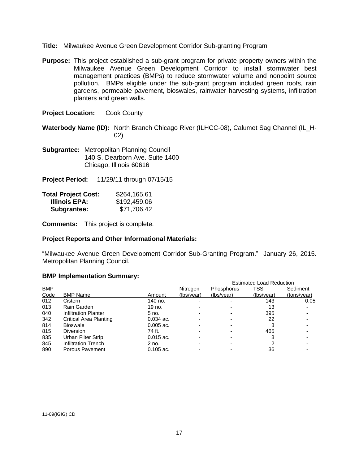- **Title:** Milwaukee Avenue Green Development Corridor Sub-granting Program
- **Purpose:** This project established a sub-grant program for private property owners within the Milwaukee Avenue Green Development Corridor to install stormwater best management practices (BMPs) to reduce stormwater volume and nonpoint source pollution. BMPs eligible under the sub-grant program included green roofs, rain gardens, permeable pavement, bioswales, rainwater harvesting systems, infiltration planters and green walls.

**Waterbody Name (ID):** North Branch Chicago River (ILHCC-08), Calumet Sag Channel (IL\_H-02)

**Subgrantee:** Metropolitan Planning Council 140 S. Dearborn Ave. Suite 1400 Chicago, Illinois 60616

**Project Period:** 11/29/11 through 07/15/15

| <b>Total Project Cost:</b> | \$264,165.61 |
|----------------------------|--------------|
| Illinois EPA:              | \$192,459.06 |
| Subgrantee:                | \$71,706.42  |

**Comments:** This project is complete.

# **Project Reports and Other Informational Materials:**

"Milwaukee Avenue Green Development Corridor Sub-Granting Program." January 26, 2015. Metropolitan Planning Council.

|            | <u>siil ilipiviliviliativii valiiliat ji</u> |             |            |            |                                 |             |
|------------|----------------------------------------------|-------------|------------|------------|---------------------------------|-------------|
|            |                                              |             |            |            | <b>Estimated Load Reduction</b> |             |
| <b>BMP</b> |                                              |             | Nitrogen   | Phosphorus | TSS                             | Sediment    |
| Code       | <b>BMP Name</b>                              | Amount      | (lbs/year) | (lbs/year) | (Ibs/year)                      | (tons/year) |
| 012        | Cistern                                      | 140 no.     |            |            | 143                             | 0.05        |
| 013        | Rain Garden                                  | 19 no.      |            |            | 13                              |             |
| 040        | Infiltration Planter                         | 5 no.       |            |            | 395                             |             |
| 342        | Critical Area Planting                       | $0.034$ ac. |            |            | 22                              |             |
| 814        | <b>Bioswale</b>                              | $0.005$ ac. |            |            |                                 |             |
| 815        | <b>Diversion</b>                             | 74 ft.      |            |            | 465                             |             |
| 835        | Urban Filter Strip                           | $0.015$ ac. |            |            |                                 |             |
| 845        | Infiltration Trench                          | $2$ no.     |            |            |                                 |             |
| 890        | Porous Pavement                              | $0.105$ ac. |            |            | 36                              |             |
|            |                                              |             |            |            |                                 |             |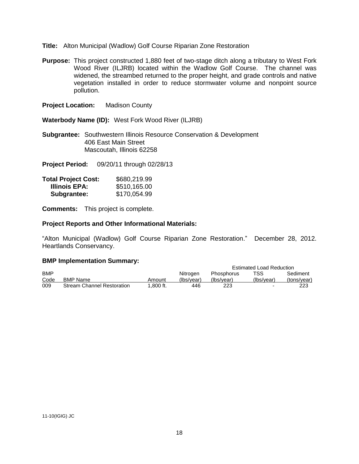- **Title:** Alton Municipal (Wadlow) Golf Course Riparian Zone Restoration
- **Purpose:** This project constructed 1,880 feet of two-stage ditch along a tributary to West Fork Wood River (ILJRB) located within the Wadlow Golf Course. The channel was widened, the streambed returned to the proper height, and grade controls and native vegetation installed in order to reduce stormwater volume and nonpoint source pollution.

**Project Location:** Madison County

**Waterbody Name (ID):** West Fork Wood River (ILJRB)

**Subgrantee:** Southwestern Illinois Resource Conservation & Development 406 East Main Street Mascoutah, Illinois 62258

**Project Period:** 09/20/11 through 02/28/13

| <b>Total Project Cost:</b> | \$680,219.99 |
|----------------------------|--------------|
| Illinois EPA:              | \$510,165.00 |
| Subgrantee:                | \$170,054.99 |

**Comments:** This project is complete.

#### **Project Reports and Other Informational Materials:**

"Alton Municipal (Wadlow) Golf Course Riparian Zone Restoration." December 28, 2012. Heartlands Conservancy.

|            |                                   |             |            |                   | <b>Estimated Load Reduction</b> |             |
|------------|-----------------------------------|-------------|------------|-------------------|---------------------------------|-------------|
|            |                                   |             |            |                   |                                 |             |
| <b>BMP</b> |                                   |             | Nitrogen   | <b>Phosphorus</b> | TSS.                            | Sediment    |
| Code       | <b>BMP Name</b>                   | Amount      | (Ibs/vear) | (Ibs/vear)        | (Ibs/vear)                      | (tons/year) |
| 009        | <b>Stream Channel Restoration</b> | $1.800$ ft. | 446        | 223               | ۰.                              | 223         |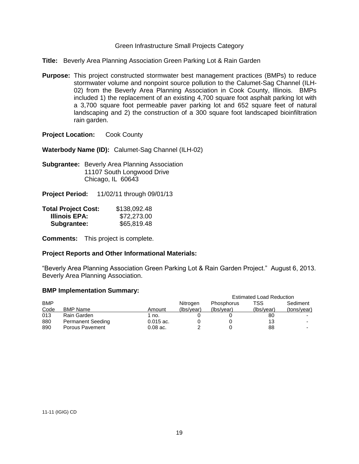# Green Infrastructure Small Projects Category

- **Title:** Beverly Area Planning Association Green Parking Lot & Rain Garden
- **Purpose:** This project constructed stormwater best management practices (BMPs) to reduce stormwater volume and nonpoint source pollution to the Calumet-Sag Channel (ILH-02) from the Beverly Area Planning Association in Cook County, Illinois. BMPs included 1) the replacement of an existing 4,700 square foot asphalt parking lot with a 3,700 square foot permeable paver parking lot and 652 square feet of natural landscaping and 2) the construction of a 300 square foot landscaped bioinfiltration rain garden.

**Project Location:** Cook County

**Waterbody Name (ID):** Calumet-Sag Channel (ILH-02)

**Subgrantee:** Beverly Area Planning Association 11107 South Longwood Drive Chicago, IL 60643

**Project Period:** 11/02/11 through 09/01/13

| <b>Total Project Cost:</b> | \$138,092.48 |
|----------------------------|--------------|
| <b>Illinois EPA:</b>       | \$72,273.00  |
| Subgrantee:                | \$65,819.48  |

**Comments:** This project is complete.

#### **Project Reports and Other Informational Materials:**

"Beverly Area Planning Association Green Parking Lot & Rain Garden Project." August 6, 2013. Beverly Area Planning Association.

|            |                          |             |            | <b>Estimated Load Reduction</b> |            |             |
|------------|--------------------------|-------------|------------|---------------------------------|------------|-------------|
| <b>BMP</b> |                          |             | Nitrogen   | Phosphorus                      | TSS        | Sediment    |
| Code       | <b>BMP Name</b>          | Amount      | (Ibs/vear) | (Ibs/vear)                      | (lbs/year) | (tons/year) |
| 013        | Rain Garden              | 1 no.       |            |                                 | 80         |             |
| 880        | <b>Permanent Seeding</b> | $0.015$ ac. |            |                                 | 13         |             |
| 890        | Porous Pavement          | $0.08$ ac.  |            |                                 | 88         |             |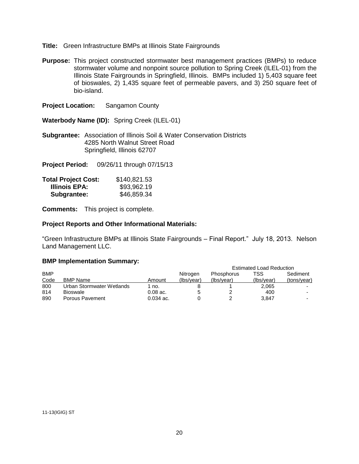## **Title:** Green Infrastructure BMPs at Illinois State Fairgrounds

**Purpose:** This project constructed stormwater best management practices (BMPs) to reduce stormwater volume and nonpoint source pollution to Spring Creek (ILEL-01) from the Illinois State Fairgrounds in Springfield, Illinois. BMPs included 1) 5,403 square feet of bioswales, 2) 1,435 square feet of permeable pavers, and 3) 250 square feet of bio-island.

**Project Location:** Sangamon County

**Waterbody Name (ID):** Spring Creek (ILEL-01)

**Subgrantee:** Association of Illinois Soil & Water Conservation Districts 4285 North Walnut Street Road Springfield, Illinois 62707

**Project Period:** 09/26/11 through 07/15/13

| <b>Total Project Cost:</b> | \$140,821.53 |
|----------------------------|--------------|
| <b>Illinois EPA:</b>       | \$93,962.19  |
| Subgrantee:                | \$46,859.34  |

**Comments:** This project is complete.

#### **Project Reports and Other Informational Materials:**

"Green Infrastructure BMPs at Illinois State Fairgrounds – Final Report." July 18, 2013. Nelson Land Management LLC.

| $\blacksquare$            |             |            |            |            |                                 |
|---------------------------|-------------|------------|------------|------------|---------------------------------|
|                           |             |            |            |            |                                 |
|                           |             | Nitrogen   | Phosphorus | TSS.       | Sediment                        |
| <b>BMP Name</b>           | Amount      | (Ibs/vear) | (Ibs/vear) | (lbs/year) | (tons/year)                     |
| Urban Stormwater Wetlands | 1 no.       |            |            | 2,065      |                                 |
| Bioswale                  | $0.08$ ac.  |            |            | 400        |                                 |
| Porous Pavement           | $0.034$ ac. |            |            | 3.847      |                                 |
|                           |             |            |            |            | <b>Estimated Load Reduction</b> |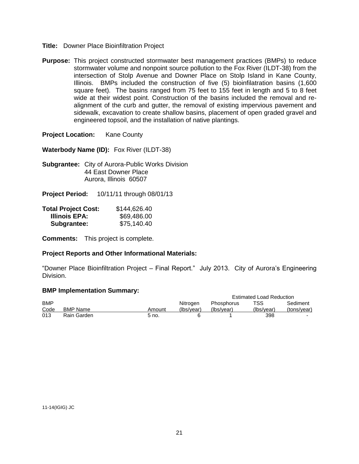- **Title:** Downer Place Bioinfiltration Project
- **Purpose:** This project constructed stormwater best management practices (BMPs) to reduce stormwater volume and nonpoint source pollution to the Fox River (ILDT-38) from the intersection of Stolp Avenue and Downer Place on Stolp Island in Kane County, Illinois. BMPs included the construction of five (5) bioinfilatration basins (1,600 square feet). The basins ranged from 75 feet to 155 feet in length and 5 to 8 feet wide at their widest point. Construction of the basins included the removal and realignment of the curb and gutter, the removal of existing impervious pavement and sidewalk, excavation to create shallow basins, placement of open graded gravel and engineered topsoil, and the installation of native plantings.

**Project Location:** Kane County

**Waterbody Name (ID):** Fox River (ILDT-38)

**Subgrantee:** City of Aurora-Public Works Division 44 East Downer Place Aurora, Illinois 60507

**Project Period:** 10/11/11 through 08/01/13

| <b>Total Project Cost:</b> | \$144,626.40 |
|----------------------------|--------------|
| <b>Illinois EPA:</b>       | \$69,486.00  |
| Subgrantee:                | \$75,140.40  |

**Comments:** This project is complete.

# **Project Reports and Other Informational Materials:**

"Downer Place Bioinfiltration Project – Final Report." July 2013. City of Aurora's Engineering Division.

|            |                 |        |            |            |            | <b>Estimated Load Reduction</b> |  |
|------------|-----------------|--------|------------|------------|------------|---------------------------------|--|
| <b>BMP</b> |                 |        | Nitrogen   | Phosphorus | TSS        | Sediment                        |  |
| Code       | <b>BMP Name</b> | Amount | (Ibs/vear) | (Ibs/vear) | (Ibs/vear) | (tons/year)                     |  |
| 013        | Rain Garden     | 5 no.  |            |            | 398        |                                 |  |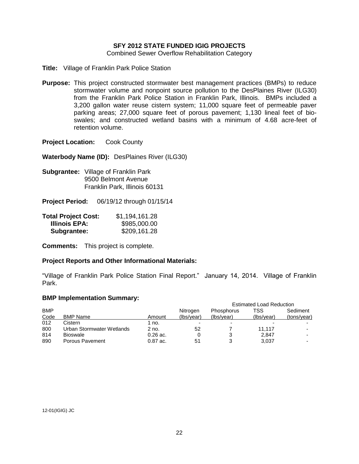# **SFY 2012 STATE FUNDED IGIG PROJECTS**

Combined Sewer Overflow Rehabilitation Category

- **Title:** Village of Franklin Park Police Station
- **Purpose:** This project constructed stormwater best management practices (BMPs) to reduce stormwater volume and nonpoint source pollution to the DesPlaines River (ILG30) from the Franklin Park Police Station in Franklin Park, Illinois. BMPs included a 3,200 gallon water reuse cistern system; 11,000 square feet of permeable paver parking areas; 27,000 square feet of porous pavement; 1,130 lineal feet of bioswales; and constructed wetland basins with a minimum of 4.68 acre-feet of retention volume.

**Project Location:** Cook County

**Waterbody Name (ID):** DesPlaines River (ILG30)

**Subgrantee:** Village of Franklin Park 9500 Belmont Avenue Franklin Park, Illinois 60131

**Project Period:** 06/19/12 through 01/15/14

| <b>Total Project Cost:</b> | \$1,194,161.28 |
|----------------------------|----------------|
| Illinois EPA:              | \$985,000.00   |
| Subgrantee:                | \$209,161.28   |

**Comments:** This project is complete.

#### **Project Reports and Other Informational Materials:**

"Village of Franklin Park Police Station Final Report." January 14, 2014. Village of Franklin Park.

|            |                           |            |            | <b>Estimated Load Reduction</b> |            |             |
|------------|---------------------------|------------|------------|---------------------------------|------------|-------------|
| <b>BMP</b> |                           |            | Nitrogen   | <b>Phosphorus</b>               | TSS        | Sediment    |
| Code       | <b>BMP Name</b>           | Amount     | (lbs/year) | (Ibs/vear)                      | (Ibs/year) | (tons/year) |
| 012        | Cistern                   | 1 no.      | -          | $\overline{\phantom{0}}$        |            |             |
| 800        | Urban Stormwater Wetlands | 2 no.      | 52         |                                 | 11.117     |             |
| 814        | <b>Bioswale</b>           | $0.26$ ac. |            |                                 | 2.847      |             |
| 890        | Porous Pavement           | $0.87$ ac. | 51         |                                 | 3,037      |             |
|            |                           |            |            |                                 |            |             |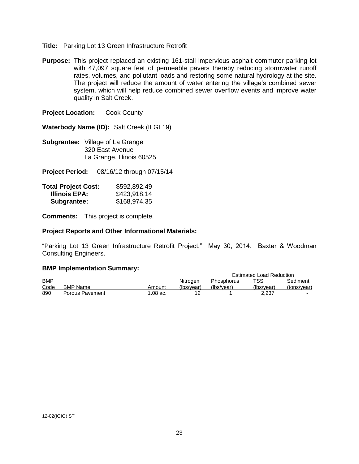- **Title:** Parking Lot 13 Green Infrastructure Retrofit
- **Purpose:** This project replaced an existing 161-stall impervious asphalt commuter parking lot with 47,097 square feet of permeable pavers thereby reducing stormwater runoff rates, volumes, and pollutant loads and restoring some natural hydrology at the site. The project will reduce the amount of water entering the village's combined sewer system, which will help reduce combined sewer overflow events and improve water quality in Salt Creek.

**Waterbody Name (ID):** Salt Creek (ILGL19)

**Subgrantee:** Village of La Grange 320 East Avenue La Grange, Illinois 60525

**Project Period:** 08/16/12 through 07/15/14

| <b>Total Project Cost:</b> | \$592,892.49 |
|----------------------------|--------------|
| Illinois EPA:              | \$423,918.14 |
| Subgrantee:                | \$168,974.35 |

**Comments:** This project is complete.

#### **Project Reports and Other Informational Materials:**

"Parking Lot 13 Green Infrastructure Retrofit Project." May 30, 2014. Baxter & Woodman Consulting Engineers.

|            |                 |            |            | <b>Estimated Load Reduction</b> |            |             |
|------------|-----------------|------------|------------|---------------------------------|------------|-------------|
| <b>BMP</b> |                 |            | Nitrogen   | Phosphorus                      | TSS        | Sediment    |
| Code       | BMP Name        | Amount     | (lbs/year) | (lbs/year)                      | (lbs/year) | (tons/year) |
| 890        | Porous Pavement | $1.08$ ac. |            |                                 | 2.237      |             |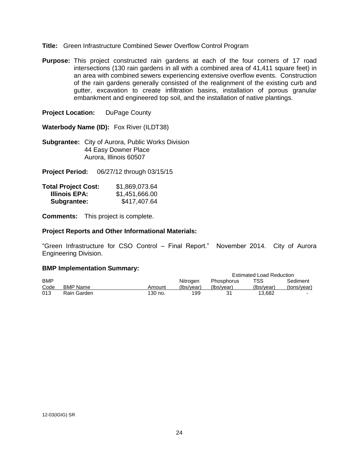## **Title:** Green Infrastructure Combined Sewer Overflow Control Program

**Purpose:** This project constructed rain gardens at each of the four corners of 17 road intersections (130 rain gardens in all with a combined area of 41,411 square feet) in an area with combined sewers experiencing extensive overflow events. Construction of the rain gardens generally consisted of the realignment of the existing curb and gutter, excavation to create infiltration basins, installation of porous granular embankment and engineered top soil, and the installation of native plantings.

**Project Location:** DuPage County

**Waterbody Name (ID):** Fox River (ILDT38)

**Subgrantee:** City of Aurora, Public Works Division 44 Easy Downer Place Aurora, Illinois 60507

**Project Period:** 06/27/12 through 03/15/15

| <b>Total Project Cost:</b> | \$1,869,073.64 |
|----------------------------|----------------|
| Illinois EPA:              | \$1,451,666.00 |
| Subgrantee:                | \$417,407.64   |

**Comments:** This project is complete.

#### **Project Reports and Other Informational Materials:**

"Green Infrastructure for CSO Control – Final Report." November 2014. City of Aurora Engineering Division.

|            |                 |         |            |            |            | <b>Estimated Load Reduction</b> |  |
|------------|-----------------|---------|------------|------------|------------|---------------------------------|--|
| <b>BMP</b> |                 |         | Nitrogen   | Phosphorus | TSS        | Sediment                        |  |
| Code       | <b>BMP Name</b> | Amount  | (Ibs/vear) | (Ibs/vear) | (Ibs/vear) | (tons/vear)                     |  |
| 013        | Rain Garden     | 130 no. | 199        | 31         | 13.682     | -                               |  |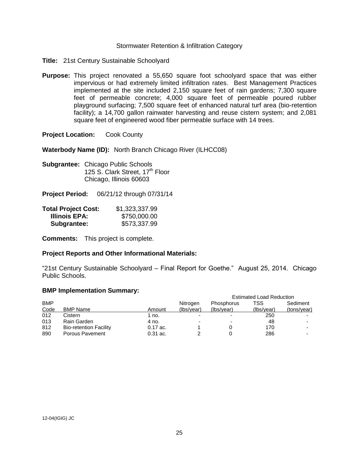#### Stormwater Retention & Infiltration Category

- **Title:** 21st Century Sustainable Schoolyard
- **Purpose:** This project renovated a 55,650 square foot schoolyard space that was either impervious or had extremely limited infiltration rates. Best Management Practices implemented at the site included 2,150 square feet of rain gardens; 7,300 square feet of permeable concrete; 4,000 square feet of permeable poured rubber playground surfacing; 7,500 square feet of enhanced natural turf area (bio-retention facility); a 14,700 gallon rainwater harvesting and reuse cistern system; and 2,081 square feet of engineered wood fiber permeable surface with 14 trees.

**Project Location:** Cook County

**Waterbody Name (ID):** North Branch Chicago River (ILHCC08)

**Subgrantee:** Chicago Public Schools 125 S. Clark Street, 17<sup>th</sup> Floor Chicago, Illinois 60603

**Project Period:** 06/21/12 through 07/31/14

| <b>Total Project Cost:</b> | \$1,323,337.99 |
|----------------------------|----------------|
| Illinois EPA:              | \$750,000.00   |
| Subgrantee:                | \$573,337.99   |

**Comments:** This project is complete.

# **Project Reports and Other Informational Materials:**

"21st Century Sustainable Schoolyard – Final Report for Goethe." August 25, 2014. Chicago Public Schools.

|            |                               |            | <b>Estimated Load Reduction</b> |                          |            |             |
|------------|-------------------------------|------------|---------------------------------|--------------------------|------------|-------------|
| <b>BMP</b> |                               |            | Nitrogen                        | <b>Phosphorus</b>        | TSS        | Sediment    |
| Code       | <b>BMP Name</b>               | Amount     | (lbs/year)                      | (lbs/year)               | (Ibs/year) | (tons/year) |
| 012        | Cistern                       | 1 no.      | $\overline{\phantom{0}}$        |                          | 250        |             |
| 013        | Rain Garden                   | 4 no.      | $\overline{\phantom{0}}$        | $\overline{\phantom{0}}$ | 48         |             |
| 812        | <b>Bio-retention Facility</b> | $0.17$ ac. |                                 |                          | 170        |             |
| 890        | Porous Pavement               | $0.31$ ac. |                                 |                          | 286        |             |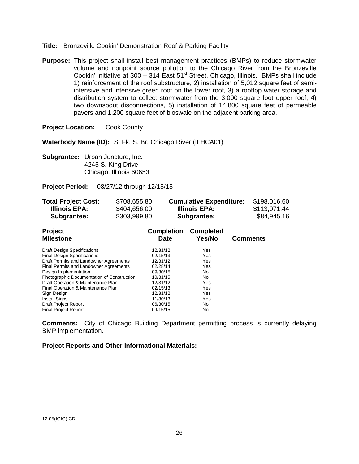- **Title:** Bronzeville Cookin' Demonstration Roof & Parking Facility
- **Purpose:** This project shall install best management practices (BMPs) to reduce stormwater volume and nonpoint source pollution to the Chicago River from the Bronzeville Cookin' initiative at 300 – 314 East  $51<sup>st</sup>$  Street, Chicago, Illinois. BMPs shall include 1) reinforcement of the roof substructure, 2) installation of 5,012 square feet of semiintensive and intensive green roof on the lower roof, 3) a rooftop water storage and distribution system to collect stormwater from the 3,000 square foot upper roof, 4) two downspout disconnections, 5) installation of 14,800 square feet of permeable pavers and 1,200 square feet of bioswale on the adjacent parking area.

**Waterbody Name (ID):** S. Fk. S. Br. Chicago River (ILHCA01)

**Subgrantee:** Urban Juncture, Inc. 4245 S. King Drive Chicago, Illinois 60653

**Project Period:** 08/27/12 through 12/15/15

| <b>Total Project Cost:</b> | \$708,655.80 | <b>Cumulative Expenditure:</b> | \$198,016.60 |
|----------------------------|--------------|--------------------------------|--------------|
| Illinois EPA:              | \$404,656.00 | Illinois EPA:                  | \$113,071.44 |
| Subgrantee:                | \$303,999.80 | Subgrantee:                    | \$84,945.16  |

| Project<br><b>Milestone</b>                                                      | <b>Completion</b><br><b>Date</b> | <b>Completed</b><br>Yes/No | <b>Comments</b> |
|----------------------------------------------------------------------------------|----------------------------------|----------------------------|-----------------|
| <b>Draft Design Specifications</b>                                               | 12/31/12                         | Yes                        |                 |
| <b>Final Design Specifications</b>                                               | 02/15/13                         | Yes                        |                 |
| Draft Permits and Landowner Agreements                                           | 12/31/12                         | Yes                        |                 |
| Final Permits and Landowner Agreements                                           | 02/28/14                         | Yes                        |                 |
| Design Implementation                                                            | 09/30/15                         | No.                        |                 |
| Photographic Documentation of Construction<br>Draft Operation & Maintenance Plan | 10/31/15<br>12/31/12             | No.<br>Yes                 |                 |
| Final Operation & Maintenance Plan                                               | 02/15/13                         | Yes                        |                 |
| Sign Design                                                                      | 12/31/12                         | Yes                        |                 |
| <b>Install Signs</b>                                                             | 11/30/13                         | Yes                        |                 |
| <b>Draft Project Report</b>                                                      | 06/30/15                         | No.                        |                 |
| <b>Final Project Report</b>                                                      | 09/15/15                         | No                         |                 |

**Comments:** City of Chicago Building Department permitting process is currently delaying BMP implementation.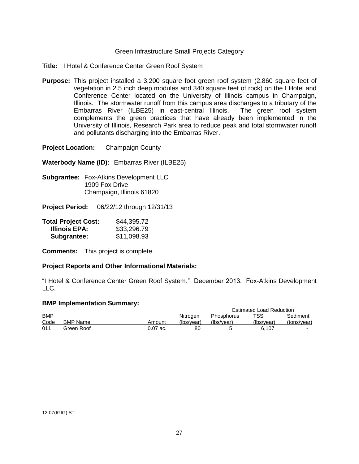# Green Infrastructure Small Projects Category

**Title:** I Hotel & Conference Center Green Roof System

**Purpose:** This project installed a 3,200 square foot green roof system (2,860 square feet of vegetation in 2.5 inch deep modules and 340 square feet of rock) on the I Hotel and Conference Center located on the University of Illinois campus in Champaign, Illinois. The stormwater runoff from this campus area discharges to a tributary of the Embarras River (ILBE25) in east-central Illinois. The green roof system complements the green practices that have already been implemented in the University of Illinois, Research Park area to reduce peak and total stormwater runoff and pollutants discharging into the Embarras River.

**Project Location:** Champaign County

**Waterbody Name (ID):** Embarras River (ILBE25)

**Subgrantee:** Fox-Atkins Development LLC 1909 Fox Drive Champaign, Illinois 61820

**Project Period:** 06/22/12 through 12/31/13

| <b>Total Project Cost:</b> | \$44,395.72 |
|----------------------------|-------------|
| Illinois EPA:              | \$33,296.79 |
| Subgrantee:                | \$11,098.93 |

**Comments:** This project is complete.

#### **Project Reports and Other Informational Materials:**

"I Hotel & Conference Center Green Roof System." December 2013. Fox-Atkins Development LLC.

|            |                 |          |            |            | <b>Estimated Load Reduction</b> |             |
|------------|-----------------|----------|------------|------------|---------------------------------|-------------|
| <b>BMP</b> |                 |          | Nitrogen   | Phosphorus | TSS.                            | Sediment    |
| Code       | <b>BMP Name</b> | Amount   | (Ibs/vear) | (Ibs/vear) | (Ibs/vear)                      | (tons/year) |
| 011        | Green Roof      | 0.07 ac. | 80         |            | 6.107                           | -           |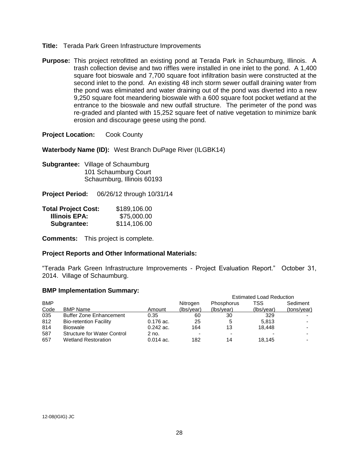- **Title:** Terada Park Green Infrastructure Improvements
- **Purpose:** This project retrofitted an existing pond at Terada Park in Schaumburg, Illinois. A trash collection devise and two riffles were installed in one inlet to the pond. A 1,400 square foot bioswale and 7,700 square foot infiltration basin were constructed at the second inlet to the pond. An existing 48 inch storm sewer outfall draining water from the pond was eliminated and water draining out of the pond was diverted into a new 9,250 square foot meandering bioswale with a 600 square foot pocket wetland at the entrance to the bioswale and new outfall structure. The perimeter of the pond was re-graded and planted with 15,252 square feet of native vegetation to minimize bank erosion and discourage geese using the pond.

**Waterbody Name (ID):** West Branch DuPage River (ILGBK14)

**Subgrantee:** Village of Schaumburg 101 Schaumburg Court Schaumburg, Illinois 60193

**Project Period:** 06/26/12 through 10/31/14

| <b>Total Project Cost:</b> | \$189,106.00 |
|----------------------------|--------------|
| <b>Illinois EPA:</b>       | \$75,000.00  |
| Subgrantee:                | \$114,106.00 |

**Comments:** This project is complete.

# **Project Reports and Other Informational Materials:**

"Terada Park Green Infrastructure Improvements - Project Evaluation Report." October 31, 2014. Village of Schaumburg.

|            |                                    |             |            | <b>Estimated Load Reduction</b> |            |             |
|------------|------------------------------------|-------------|------------|---------------------------------|------------|-------------|
| <b>BMP</b> |                                    |             | Nitrogen   | <b>Phosphorus</b>               | TSS        | Sediment    |
| Code       | BMP Name                           | Amount      | (Ibs/vear) | (Ibs/vear)                      | (Ibs/year) | (tons/year) |
| 035        | <b>Buffer Zone Enhancement</b>     | 0.35        | 60         | 30                              | 329        |             |
| 812        | <b>Bio-retention Facility</b>      | $0.176$ ac. | 25         | 5                               | 5.813      |             |
| 814        | <b>Bioswale</b>                    | $0.242$ ac. | 164        | 13                              | 18.448     |             |
| 587        | <b>Structure for Water Control</b> | 2 no.       | -          | $\overline{\phantom{0}}$        |            |             |
| 657        | <b>Wetland Restoration</b>         | $0.014$ ac. | 182        | 14                              | 18.145     |             |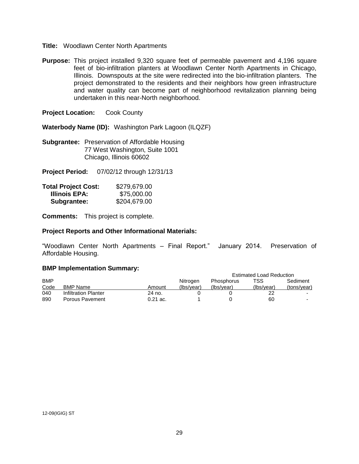- **Title:** Woodlawn Center North Apartments
- **Purpose:** This project installed 9,320 square feet of permeable pavement and 4,196 square feet of bio-infiltration planters at Woodlawn Center North Apartments in Chicago, Illinois. Downspouts at the site were redirected into the bio-infiltration planters. The project demonstrated to the residents and their neighbors how green infrastructure and water quality can become part of neighborhood revitalization planning being undertaken in this near-North neighborhood.

**Waterbody Name (ID):** Washington Park Lagoon (ILQZF)

**Subgrantee:** Preservation of Affordable Housing 77 West Washington, Suite 1001 Chicago, Illinois 60602

**Project Period:** 07/02/12 through 12/31/13

| <b>Total Project Cost:</b> | \$279,679.00 |
|----------------------------|--------------|
| Illinois EPA:              | \$75,000.00  |
| Subgrantee:                | \$204,679.00 |

**Comments:** This project is complete.

#### **Project Reports and Other Informational Materials:**

"Woodlawn Center North Apartments – Final Report." January 2014. Preservation of Affordable Housing.

|            |                      |            |            |            | <b>Estimated Load Reduction</b> |                |
|------------|----------------------|------------|------------|------------|---------------------------------|----------------|
| <b>BMP</b> |                      |            | Nitrogen   | Phosphorus | TSS                             | Sediment       |
| Code       | <b>BMP Name</b>      | Amount     | (Ibs/vear) | (Ibs/vear) | (Ibs/vear)                      | (tons/year)    |
| 040        | Infiltration Planter | 24 no.     |            |            |                                 | $\blacksquare$ |
| 890        | Porous Pavement      | $0.21$ ac. |            |            | 60                              |                |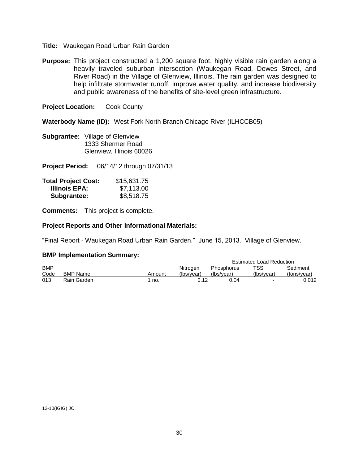- **Title:** Waukegan Road Urban Rain Garden
- **Purpose:** This project constructed a 1,200 square foot, highly visible rain garden along a heavily traveled suburban intersection (Waukegan Road, Dewes Street, and River Road) in the Village of Glenview, Illinois. The rain garden was designed to help infiltrate stormwater runoff, improve water quality, and increase biodiversity and public awareness of the benefits of site-level green infrastructure.

**Waterbody Name (ID):** West Fork North Branch Chicago River (ILHCCB05)

**Subgrantee:** Village of Glenview 1333 Shermer Road Glenview, Illinois 60026

**Project Period:** 06/14/12 through 07/31/13

| <b>Total Project Cost:</b> | \$15,631.75 |
|----------------------------|-------------|
| <b>Illinois EPA:</b>       | \$7,113.00  |
| Subgrantee:                | \$8,518.75  |

**Comments:** This project is complete.

# **Project Reports and Other Informational Materials:**

"Final Report - Waukegan Road Urban Rain Garden." June 15, 2013. Village of Glenview.

|            |             |        |            |            | <b>Estimated Load Reduction</b> |             |
|------------|-------------|--------|------------|------------|---------------------------------|-------------|
| <b>BMP</b> |             |        | Nitrogen   | Phosphorus | TSS.                            | Sediment    |
| Code       | BMP Name    | Amount | (Ibs/vear) | (Ibs/vear) | (Ibs/vear)                      | (tons/vear) |
| 013        | Rain Garden | ` no.  | 0.12       | 0.04       |                                 | 0.012       |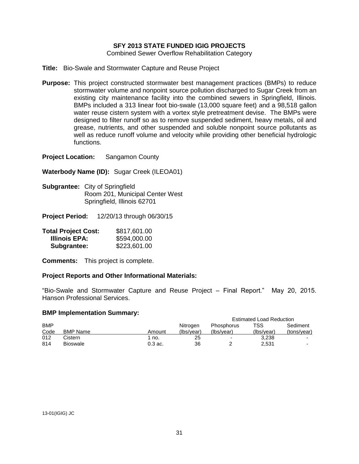# **SFY 2013 STATE FUNDED IGIG PROJECTS**

Combined Sewer Overflow Rehabilitation Category

**Title:** Bio-Swale and Stormwater Capture and Reuse Project

**Purpose:** This project constructed stormwater best management practices (BMPs) to reduce stormwater volume and nonpoint source pollution discharged to Sugar Creek from an existing city maintenance facility into the combined sewers in Springfield, Illinois. BMPs included a 313 linear foot bio-swale (13,000 square feet) and a 98,518 gallon water reuse cistern system with a vortex style pretreatment devise. The BMPs were designed to filter runoff so as to remove suspended sediment, heavy metals, oil and grease, nutrients, and other suspended and soluble nonpoint source pollutants as well as reduce runoff volume and velocity while providing other beneficial hydrologic functions.

**Project Location:** Sangamon County

**Waterbody Name (ID):** Sugar Creek (ILEOA01)

**Subgrantee:** City of Springfield Room 201, Municipal Center West Springfield, Illinois 62701

**Project Period:** 12/20/13 through 06/30/15

| <b>Total Project Cost:</b> | \$817,601.00 |
|----------------------------|--------------|
| Illinois EPA:              | \$594,000.00 |
| Subgrantee:                | \$223,601.00 |

**Comments:** This project is complete.

# **Project Reports and Other Informational Materials:**

"Bio-Swale and Stormwater Capture and Reuse Project – Final Report." May 20, 2015. Hanson Professional Services.

|            |                 |           |            | <b>Estimated Load Reduction</b> |            |             |
|------------|-----------------|-----------|------------|---------------------------------|------------|-------------|
| <b>BMP</b> |                 |           | Nitrogen   | <b>Phosphorus</b>               | TSS        | Sediment    |
| Code       | <b>BMP Name</b> | Amount    | (lbs/year) | (Ibs/vear)                      | (Ibs/vear) | (tons/year) |
| 012        | Cistern         | no.       | 25         | -                               | 3.238      | -           |
| 814        | <b>Bioswale</b> | $0.3$ ac. | 36         |                                 | 2,531      | -           |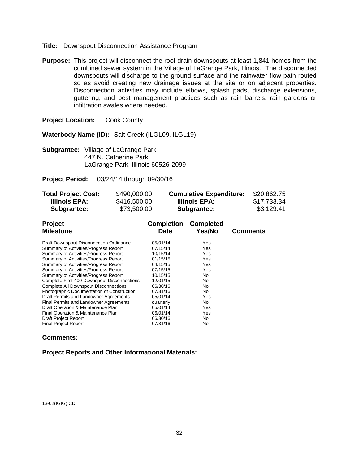- **Title:** Downspout Disconnection Assistance Program
- **Purpose:** This project will disconnect the roof drain downspouts at least 1,841 homes from the combined sewer system in the Village of LaGrange Park, Illinois. The disconnected downspouts will discharge to the ground surface and the rainwater flow path routed so as avoid creating new drainage issues at the site or on adjacent properties. Disconnection activities may include elbows, splash pads, discharge extensions, guttering, and best management practices such as rain barrels, rain gardens or infiltration swales where needed.

**Waterbody Name (ID):** Salt Creek (ILGL09, ILGL19)

**Subgrantee:** Village of LaGrange Park 447 N. Catherine Park LaGrange Park, Illinois 60526-2099

**Project Period:** 03/24/14 through 09/30/16

| <b>Total Project Cost:</b> | \$490,000.00 | <b>Cumulative Expenditure:</b> | \$20,862.75 |
|----------------------------|--------------|--------------------------------|-------------|
| Illinois EPA:              | \$416,500.00 | Illinois EPA:                  | \$17,733.34 |
| Subgrantee:                | \$73,500.00  | Subgrantee:                    | \$3,129.41  |

| Project<br><b>Milestone</b>                  | <b>Completion</b><br>Date | <b>Completed</b><br>Yes/No | <b>Comments</b> |
|----------------------------------------------|---------------------------|----------------------------|-----------------|
| Draft Downspout Disconnection Ordinance      | 05/01/14                  | Yes                        |                 |
| Summary of Activities/Progress Report        | 07/15/14                  | Yes                        |                 |
| Summary of Activities/Progress Report        | 10/15/14                  | Yes                        |                 |
| Summary of Activities/Progress Report        | 01/15/15                  | Yes                        |                 |
| Summary of Activities/Progress Report        | 04/15/15                  | Yes                        |                 |
| Summary of Activities/Progress Report        | 07/15/15                  | Yes                        |                 |
| Summary of Activities/Progress Report        | 10/15/15                  | No                         |                 |
| Complete First 400 Downspout Disconnections  | 12/01/15                  | No                         |                 |
| <b>Complete All Downspout Disconnections</b> | 06/30/16                  | No                         |                 |
| Photographic Documentation of Construction   | 07/31/16                  | No                         |                 |
| Draft Permits and Landowner Agreements       | 05/01/14                  | Yes                        |                 |
| Final Permits and Landowner Agreements       | quarterly                 | No                         |                 |
| Draft Operation & Maintenance Plan           | 05/01/14                  | Yes                        |                 |
| Final Operation & Maintenance Plan           | 06/01/14                  | Yes                        |                 |
| <b>Draft Project Report</b>                  | 06/30/16                  | No                         |                 |
| <b>Final Project Report</b>                  | 07/31/16                  | No                         |                 |

#### **Comments:**

# **Project Reports and Other Informational Materials:**

13-02(IGIG) CD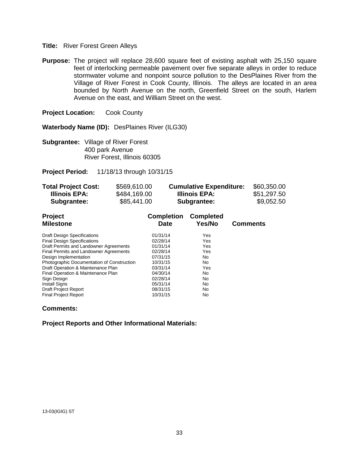# **Title:** River Forest Green Alleys

**Purpose:** The project will replace 28,600 square feet of existing asphalt with 25,150 square feet of interlocking permeable pavement over five separate alleys in order to reduce stormwater volume and nonpoint source pollution to the DesPlaines River from the Village of River Forest in Cook County, Illinois. The alleys are located in an area bounded by North Avenue on the north, Greenfield Street on the south, Harlem Avenue on the east, and William Street on the west.

**Project Location:** Cook County

**Waterbody Name (ID):** DesPlaines River (ILG30)

**Subgrantee:** Village of River Forest 400 park Avenue River Forest, Illinois 60305

**Project Period:** 11/18/13 through 10/31/15

| <b>Total Project Cost:</b> | \$569,610.00 | <b>Cumulative Expenditure:</b> | \$60,350.00 |
|----------------------------|--------------|--------------------------------|-------------|
| Illinois EPA:              | \$484,169.00 | Illinois EPA:                  | \$51,297.50 |
| Subgrantee:                | \$85,441.00  | Subgrantee:                    | \$9,052.50  |

| <b>Project</b>                             | <b>Completion</b> | <b>Completed</b> |                 |
|--------------------------------------------|-------------------|------------------|-----------------|
| <b>Milestone</b>                           | Date              | Yes/No           | <b>Comments</b> |
| <b>Draft Design Specifications</b>         | 01/31/14          | Yes              |                 |
| <b>Final Design Specifications</b>         | 02/28/14          | Yes              |                 |
| Draft Permits and Landowner Agreements     | 01/31/14          | Yes              |                 |
| Final Permits and Landowner Agreements     | 02/28/14          | Yes              |                 |
| Design Implementation                      | 07/31/15          | No               |                 |
| Photographic Documentation of Construction | 10/31/15          | No               |                 |
| Draft Operation & Maintenance Plan         | 03/31/14          | Yes              |                 |
| Final Operation & Maintenance Plan         | 04/30/14          | No               |                 |
| Sign Design                                | 02/28/14          | No               |                 |
| <b>Install Signs</b>                       | 05/31/14          | No               |                 |
| <b>Draft Project Report</b>                | 08/31/15          | No               |                 |
| <b>Final Project Report</b>                | 10/31/15          | No               |                 |

# **Comments:**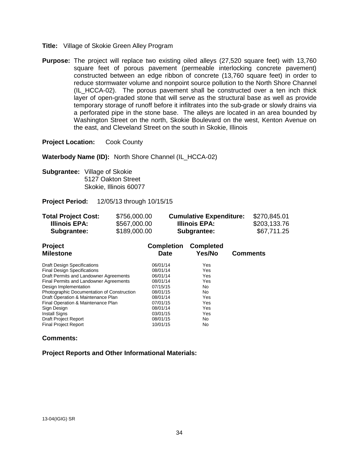- **Title:** Village of Skokie Green Alley Program
- **Purpose:** The project will replace two existing oiled alleys (27,520 square feet) with 13,760 square feet of porous pavement (permeable interlocking concrete pavement) constructed between an edge ribbon of concrete (13,760 square feet) in order to reduce stormwater volume and nonpoint source pollution to the North Shore Channel (IL\_HCCA-02). The porous pavement shall be constructed over a ten inch thick layer of open-graded stone that will serve as the structural base as well as provide temporary storage of runoff before it infiltrates into the sub-grade or slowly drains via a perforated pipe in the stone base. The alleys are located in an area bounded by Washington Street on the north, Skokie Boulevard on the west, Kenton Avenue on the east, and Cleveland Street on the south in Skokie, Illinois

**Waterbody Name (ID):** North Shore Channel (IL\_HCCA-02)

**Subgrantee:** Village of Skokie 5127 Oakton Street Skokie, Illinois 60077

**Project Period:** 12/05/13 through 10/15/15

| <b>Total Project Cost:</b> | \$756,000.00 | <b>Cumulative Expenditure:</b> | \$270,845.01 |
|----------------------------|--------------|--------------------------------|--------------|
| Illinois EPA:              | \$567,000.00 | Illinois EPA:                  | \$203,133.76 |
| Subgrantee:                | \$189,000.00 | Subgrantee:                    | \$67,711.25  |

| <b>Project</b><br><b>Milestone</b>         | <b>Completion</b><br><b>Date</b> | <b>Completed</b><br>Yes/No | <b>Comments</b> |
|--------------------------------------------|----------------------------------|----------------------------|-----------------|
| <b>Draft Design Specifications</b>         | 06/01/14                         | Yes                        |                 |
| <b>Final Design Specifications</b>         | 08/01/14                         | Yes                        |                 |
| Draft Permits and Landowner Agreements     | 06/01/14                         | Yes                        |                 |
| Final Permits and Landowner Agreements     | 08/01/14                         | Yes                        |                 |
| Design Implementation                      | 07/15/15                         | No.                        |                 |
| Photographic Documentation of Construction | 08/01/15                         | No                         |                 |
| Draft Operation & Maintenance Plan         | 08/01/14                         | Yes                        |                 |
| Final Operation & Maintenance Plan         | 07/01/15                         | Yes                        |                 |
| Sign Design                                | 08/01/14                         | Yes                        |                 |
| <b>Install Signs</b>                       | 03/01/15                         | Yes                        |                 |
| <b>Draft Project Report</b>                | 08/01/15                         | No                         |                 |
| <b>Final Project Report</b>                | 10/01/15                         | No                         |                 |

#### **Comments:**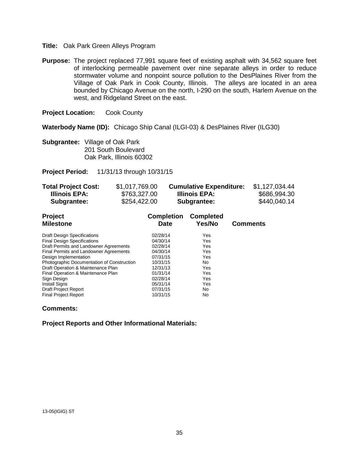#### **Title:** Oak Park Green Alleys Program

**Purpose:** The project replaced 77,991 square feet of existing asphalt with 34,562 square feet of interlocking permeable pavement over nine separate alleys in order to reduce stormwater volume and nonpoint source pollution to the DesPlaines River from the Village of Oak Park in Cook County, Illinois. The alleys are located in an area bounded by Chicago Avenue on the north, I-290 on the south, Harlem Avenue on the west, and Ridgeland Street on the east.

**Project Location:** Cook County

**Waterbody Name (ID):** Chicago Ship Canal (ILGI-03) & DesPlaines River (ILG30)

**Subgrantee:** Village of Oak Park 201 South Boulevard Oak Park, Illinois 60302

**Project Period:** 11/31/13 through 10/31/15

| <b>Total Project Cost:</b> | \$1,017,769.00 | <b>Cumulative Expenditure:</b> | \$1,127,034.44 |
|----------------------------|----------------|--------------------------------|----------------|
| Illinois EPA:              | \$763,327.00   | Illinois EPA:                  | \$686,994.30   |
| Subgrantee:                | \$254,422.00   | <b>Subgrantee:</b>             | \$440,040.14   |

| <b>Project</b>                             | <b>Completion</b> | <b>Completed</b> |                 |
|--------------------------------------------|-------------------|------------------|-----------------|
| <b>Milestone</b>                           | Date              | Yes/No           | <b>Comments</b> |
| <b>Draft Design Specifications</b>         | 02/28/14          | Yes              |                 |
| <b>Final Design Specifications</b>         | 04/30/14          | Yes              |                 |
| Draft Permits and Landowner Agreements     | 02/28/14          | Yes              |                 |
| Final Permits and Landowner Agreements     | 04/30/14          | Yes              |                 |
| Design Implementation                      | 07/31/15          | Yes              |                 |
| Photographic Documentation of Construction | 10/31/15          | No.              |                 |
| Draft Operation & Maintenance Plan         | 12/31/13          | Yes              |                 |
| Final Operation & Maintenance Plan         | 01/31/14          | Yes              |                 |
| Sign Design                                | 02/28/14          | Yes              |                 |
| <b>Install Signs</b>                       | 05/31/14          | Yes              |                 |
| <b>Draft Project Report</b>                | 07/31/15          | No.              |                 |
| <b>Final Project Report</b>                | 10/31/15          | No               |                 |

# **Comments:**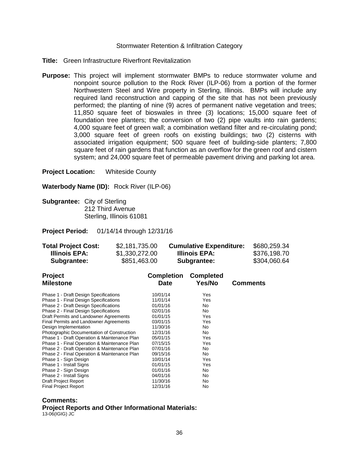#### Stormwater Retention & Infiltration Category

- **Title:** Green Infrastructure Riverfront Revitalization
- **Purpose:** This project will implement stormwater BMPs to reduce stormwater volume and nonpoint source pollution to the Rock River (ILP-06) from a portion of the former Northwestern Steel and Wire property in Sterling, Illinois. BMPs will include any required land reconstruction and capping of the site that has not been previously performed; the planting of nine (9) acres of permanent native vegetation and trees; 11,850 square feet of bioswales in three (3) locations; 15,000 square feet of foundation tree planters; the conversion of two (2) pipe vaults into rain gardens; 4,000 square feet of green wall; a combination wetland filter and re-circulating pond; 3,000 square feet of green roofs on existing buildings; two (2) cisterns with associated irrigation equipment; 500 square feet of building-side planters; 7,800 square feet of rain gardens that function as an overflow for the green roof and cistern system; and 24,000 square feet of permeable pavement driving and parking lot area.

**Project Location:** Whiteside County

**Waterbody Name (ID):** Rock River (ILP-06)

**Subgrantee:** City of Sterling 212 Third Avenue Sterling, Illinois 61081

**Project Period:** 01/14/14 through 12/31/16

| <b>Total Project Cost:</b><br>\$2,181,735.00<br><b>Illinois EPA:</b><br>\$1,330,272.00<br>\$851,463.00<br>Subgrantee:                                                                                                                                                                                                                                                                                                                                                                                                                                                                                    |  |                                                                                                                                                                                  | <b>Cumulative Expenditure:</b><br>Illinois EPA:<br>Subgrantee:                                                          |                 | \$680,259.34<br>\$376,198.70<br>\$304,060.64 |  |
|----------------------------------------------------------------------------------------------------------------------------------------------------------------------------------------------------------------------------------------------------------------------------------------------------------------------------------------------------------------------------------------------------------------------------------------------------------------------------------------------------------------------------------------------------------------------------------------------------------|--|----------------------------------------------------------------------------------------------------------------------------------------------------------------------------------|-------------------------------------------------------------------------------------------------------------------------|-----------------|----------------------------------------------|--|
| <b>Project</b><br><b>Milestone</b>                                                                                                                                                                                                                                                                                                                                                                                                                                                                                                                                                                       |  | <b>Completion</b><br>Date                                                                                                                                                        | <b>Completed</b><br>Yes/No                                                                                              | <b>Comments</b> |                                              |  |
| Phase 1 - Draft Design Specifications<br>Phase 1 - Final Design Specifications<br>Phase 2 - Draft Design Specifications<br>Phase 2 - Final Design Specifications<br>Draft Permits and Landowner Agreements<br>Final Permits and Landowner Agreements<br>Design Implementation<br>Photographic Documentation of Construction<br>Phase 1 - Draft Operation & Maintenance Plan<br>Phase 1 - Final Operation & Maintenance Plan<br>Phase 2 - Draft Operation & Maintenance Plan<br>Phase 2 - Final Operation & Maintenance Plan<br>Phase 1 - Sign Design<br>Phase 1 - Install Signs<br>Phase 2 - Sign Design |  | 10/01/14<br>11/01/14<br>01/01/16<br>02/01/16<br>01/01/15<br>03/01/15<br>11/30/16<br>12/31/16<br>05/01/15<br>07/15/15<br>07/01/16<br>09/15/16<br>10/01/14<br>01/01/15<br>01/01/16 | Yes<br>Yes<br>No.<br>No<br>Yes<br>Yes<br>N <sub>0</sub><br>N <sub>0</sub><br>Yes<br>Yes<br>No<br>No<br>Yes<br>Yes<br>No |                 |                                              |  |
| Phase 2 - Install Signs<br><b>Draft Project Report</b><br><b>Final Project Report</b>                                                                                                                                                                                                                                                                                                                                                                                                                                                                                                                    |  | 04/01/16<br>11/30/16<br>12/31/16                                                                                                                                                 | No<br>No<br>No                                                                                                          |                 |                                              |  |

# **Comments:**

**Project Reports and Other Informational Materials:** 13-06(IGIG) JC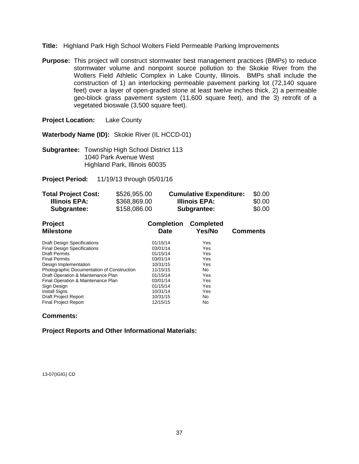- **Title:** Highland Park High School Wolters Field Permeable Parking Improvements
- **Purpose:** This project will construct stormwater best management practices (BMPs) to reduce stormwater volume and nonpoint source pollution to the Skokie River from the Wolters Field Athletic Complex in Lake County, Illinois. BMPs shall include the construction of 1) an interlocking permeable pavement parking lot (72,140 square feet) over a layer of open-graded stone at least twelve inches thick, 2) a permeable geo-block grass pavement system (11,600 square feet), and the 3) retrofit of a vegetated bioswale (3,500 square feet).

**Project Location:** Lake County

**Waterbody Name (ID):** Skokie River (IL HCCD-01)

**Subgrantee:** Township High School District 113 1040 Park Avenue West Highland Park, Illinois 60035

**Project Period:** 11/19/13 through 05/01/16

| <b>Total Project Cost:</b> | \$526,955.00 | <b>Cumulative Expenditure:</b> | \$0.00 |
|----------------------------|--------------|--------------------------------|--------|
| Illinois EPA:              | \$368,869.00 | Illinois EPA:                  | \$0.00 |
| Subgrantee:                | \$158,086.00 | Subgrantee:                    | \$0.00 |

| <b>Project</b><br><b>Milestone</b>         | <b>Completion</b><br><b>Date</b> | <b>Completed</b><br>Yes/No | <b>Comments</b> |
|--------------------------------------------|----------------------------------|----------------------------|-----------------|
| <b>Draft Design Specifications</b>         | 01/15/14                         | Yes                        |                 |
| <b>Final Design Specifications</b>         | 03/01/14                         | Yes                        |                 |
| <b>Draft Permits</b>                       | 01/15/14                         | Yes                        |                 |
| <b>Final Permits</b>                       | 03/01/14                         | Yes                        |                 |
| Design Implementation                      | 10/31/15                         | Yes                        |                 |
| Photographic Documentation of Construction | 11/15/15                         | No                         |                 |
| Draft Operation & Maintenance Plan         | 01/15/14                         | Yes                        |                 |
| Final Operation & Maintenance Plan         | 03/01/14                         | Yes                        |                 |
| Sign Design                                | 01/15/14                         | Yes                        |                 |
| <b>Install Signs</b>                       | 10/31/14                         | Yes                        |                 |
| <b>Draft Project Report</b>                | 10/31/15                         | No.                        |                 |
| <b>Final Project Report</b>                | 12/15/15                         | No                         |                 |

# **Comments:**

**Project Reports and Other Informational Materials:**

13-07(IGIG) CD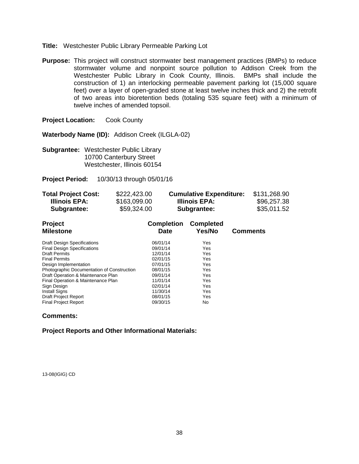- **Title:** Westchester Public Library Permeable Parking Lot
- **Purpose:** This project will construct stormwater best management practices (BMPs) to reduce stormwater volume and nonpoint source pollution to Addison Creek from the Westchester Public Library in Cook County, Illinois. BMPs shall include the construction of 1) an interlocking permeable pavement parking lot (15,000 square feet) over a layer of open-graded stone at least twelve inches thick and 2) the retrofit of two areas into bioretention beds (totaling 535 square feet) with a minimum of twelve inches of amended topsoil.

**Waterbody Name (ID):** Addison Creek (ILGLA-02)

**Subgrantee:** Westchester Public Library 10700 Canterbury Street Westchester, Illinois 60154

**Project Period:** 10/30/13 through 05/01/16

| <b>Total Project Cost:</b> | \$222,423.00 | <b>Cumulative Expenditure:</b> | \$131,268.90 |
|----------------------------|--------------|--------------------------------|--------------|
| Illinois EPA:              | \$163,099.00 | Illinois EPA:                  | \$96,257.38  |
| <b>Subgrantee:</b>         | \$59,324.00  | Subgrantee:                    | \$35,011.52  |

| Project                                    | <b>Completion</b> | <b>Completed</b> |                 |
|--------------------------------------------|-------------------|------------------|-----------------|
| <b>Milestone</b>                           | <b>Date</b>       | Yes/No           | <b>Comments</b> |
| <b>Draft Design Specifications</b>         | 06/01/14          | Yes              |                 |
| <b>Final Design Specifications</b>         | 09/01/14          | Yes              |                 |
| <b>Draft Permits</b>                       | 12/01/14          | Yes              |                 |
| <b>Final Permits</b>                       | 02/01/15          | Yes              |                 |
| Design Implementation                      | 07/01/15          | Yes              |                 |
| Photographic Documentation of Construction | 08/01/15          | Yes              |                 |
| Draft Operation & Maintenance Plan         | 09/01/14          | Yes              |                 |
| Final Operation & Maintenance Plan         | 11/01/14          | Yes              |                 |
| Sign Design                                | 02/01/14          | Yes              |                 |
| <b>Install Signs</b>                       | 11/30/14          | Yes              |                 |
| <b>Draft Project Report</b>                | 08/01/15          | Yes              |                 |
| <b>Final Project Report</b>                | 09/30/15          | No               |                 |

# **Comments:**

**Project Reports and Other Informational Materials:**

13-08(IGIG) CD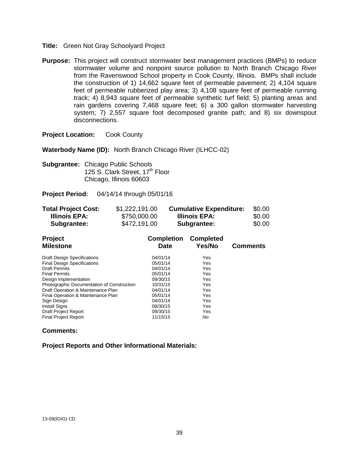- **Title:** Green Not Gray Schoolyard Project
- **Purpose:** This project will construct stormwater best management practices (BMPs) to reduce stormwater volume and nonpoint source pollution to North Branch Chicago River from the Ravenswood School property in Cook County, Illinois. BMPs shall include the construction of 1) 14,662 square feet of permeable pavement; 2) 4,104 square feet of permeable rubberized play area; 3) 4,108 square feet of permeable running track; 4) 8,943 square feet of permeable synthetic turf field; 5) planting areas and rain gardens covering 7,468 square feet; 6) a 300 gallon stormwater harvesting system; 7) 2,557 square foot decomposed granite path; and 8) six downspout disconnections.

**Waterbody Name (ID):** North Branch Chicago River (ILHCC-02)

**Subgrantee:** Chicago Public Schools 125 S. Clark Street, 17<sup>th</sup> Floor Chicago, Illinois 60603

**Project Period:** 04/14/14 through 05/01/16

| <b>Total Project Cost:</b> | \$1,222,191.00 | <b>Cumulative Expenditure:</b> | \$0.00 |
|----------------------------|----------------|--------------------------------|--------|
| Illinois EPA:              | \$750,000.00   | Illinois EPA:                  | \$0.00 |
| <b>Subgrantee:</b>         | \$472,191.00   | Subgrantee:                    | \$0.00 |

| <b>Project</b><br><b>Milestone</b>         | <b>Completion</b><br><b>Date</b> | <b>Completed</b><br>Yes/No | <b>Comments</b> |
|--------------------------------------------|----------------------------------|----------------------------|-----------------|
| <b>Draft Design Specifications</b>         | 04/01/14                         | Yes                        |                 |
| <b>Final Design Specifications</b>         | 05/01/14                         | Yes                        |                 |
| <b>Draft Permits</b>                       | 04/01/14                         | Yes                        |                 |
| <b>Final Permits</b>                       | 05/01/14                         | Yes                        |                 |
| Design Implementation                      | 09/30/15                         | Yes                        |                 |
| Photographic Documentation of Construction | 10/31/15                         | Yes                        |                 |
| Draft Operation & Maintenance Plan         | 04/01/14                         | Yes                        |                 |
| Final Operation & Maintenance Plan         | 05/01/14                         | Yes                        |                 |
| Sign Design                                | 04/01/14                         | Yes                        |                 |
| <b>Install Signs</b>                       | 09/30/15                         | Yes                        |                 |
| <b>Draft Project Report</b>                | 09/30/15                         | Yes                        |                 |
| <b>Final Project Report</b>                | 11/15/15                         | No                         |                 |

# **Comments:**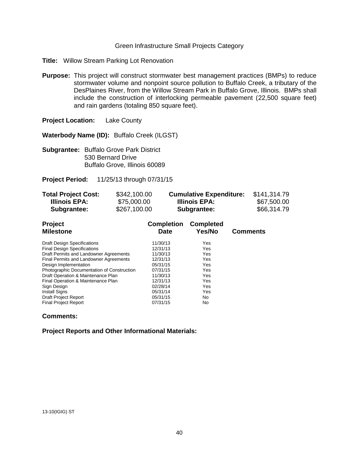#### Green Infrastructure Small Projects Category

- **Title:** Willow Stream Parking Lot Renovation
- **Purpose:** This project will construct stormwater best management practices (BMPs) to reduce stormwater volume and nonpoint source pollution to Buffalo Creek, a tributary of the DesPlaines River, from the Willow Stream Park in Buffalo Grove, Illinois. BMPs shall include the construction of interlocking permeable pavement (22,500 square feet) and rain gardens (totaling 850 square feet).

**Project Location:** Lake County

**Waterbody Name (ID):** Buffalo Creek (ILGST)

**Subgrantee:** Buffalo Grove Park District 530 Bernard Drive Buffalo Grove, Illinois 60089

**Project Period:** 11/25/13 through 07/31/15

| <b>Total Project Cost:</b> | \$342,100.00 | <b>Cumulative Expenditure:</b> | \$141,314.79 |
|----------------------------|--------------|--------------------------------|--------------|
| Illinois EPA:              | \$75,000.00  | Illinois EPA:                  | \$67,500.00  |
| Subgrantee:                | \$267,100.00 | Subgrantee:                    | \$66,314.79  |

| Project                                    | <b>Completion</b> | <b>Completed</b> |                 |
|--------------------------------------------|-------------------|------------------|-----------------|
| <b>Milestone</b>                           | <b>Date</b>       | Yes/No           | <b>Comments</b> |
| <b>Draft Design Specifications</b>         | 11/30/13          | Yes              |                 |
| <b>Final Design Specifications</b>         | 12/31/13          | Yes              |                 |
| Draft Permits and Landowner Agreements     | 11/30/13          | Yes              |                 |
| Final Permits and Landowner Agreements     | 12/31/13          | Yes              |                 |
| Design Implementation                      | 05/31/15          | Yes              |                 |
| Photographic Documentation of Construction | 07/31/15          | Yes              |                 |
| Draft Operation & Maintenance Plan         | 11/30/13          | Yes              |                 |
| Final Operation & Maintenance Plan         | 12/31/13          | Yes              |                 |
| Sign Design                                | 02/28/14          | Yes              |                 |
| <b>Install Signs</b>                       | 05/31/14          | Yes              |                 |
| <b>Draft Project Report</b>                | 05/31/15          | No.              |                 |
| <b>Final Project Report</b>                | 07/31/15          | No               |                 |

# **Comments:**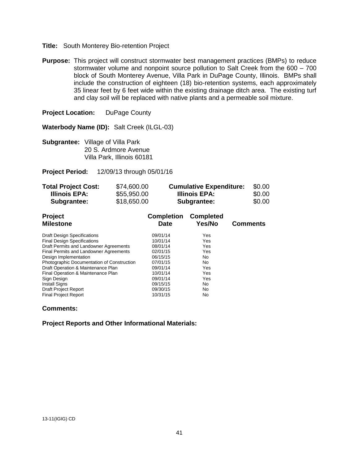#### **Title:** South Monterey Bio-retention Project

**Purpose:** This project will construct stormwater best management practices (BMPs) to reduce stormwater volume and nonpoint source pollution to Salt Creek from the 600 – 700 block of South Monterey Avenue, Villa Park in DuPage County, Illinois. BMPs shall include the construction of eighteen (18) bio-retention systems, each approximately 35 linear feet by 6 feet wide within the existing drainage ditch area. The existing turf and clay soil will be replaced with native plants and a permeable soil mixture.

**Project Location:** DuPage County

**Waterbody Name (ID):** Salt Creek (ILGL-03)

**Subgrantee:** Village of Villa Park 20 S. Ardmore Avenue Villa Park, Illinois 60181

**Project Period:** 12/09/13 through 05/01/16

| <b>Total Project Cost:</b> | \$74,600.00 | <b>Cumulative Expenditure:</b> | \$0.00 |
|----------------------------|-------------|--------------------------------|--------|
| Illinois EPA:              | \$55,950.00 | Illinois EPA:                  | \$0.00 |
| Subgrantee:                | \$18,650.00 | Subgrantee:                    | \$0.00 |

| <b>Project</b><br><b>Milestone</b>         | <b>Completion</b><br><b>Date</b> | <b>Completed</b><br>Yes/No | <b>Comments</b> |
|--------------------------------------------|----------------------------------|----------------------------|-----------------|
| <b>Draft Design Specifications</b>         | 09/01/14                         | Yes                        |                 |
| <b>Final Design Specifications</b>         | 10/01/14                         | Yes                        |                 |
| Draft Permits and Landowner Agreements     | 08/01/14                         | Yes                        |                 |
| Final Permits and Landowner Agreements     | 02/01/15                         | Yes                        |                 |
| Design Implementation                      | 06/15/15                         | No                         |                 |
| Photographic Documentation of Construction | 07/01/15                         | No                         |                 |
| Draft Operation & Maintenance Plan         | 09/01/14                         | Yes                        |                 |
| Final Operation & Maintenance Plan         | 10/01/14                         | Yes                        |                 |
| Sign Design                                | 09/01/14                         | Yes                        |                 |
| <b>Install Signs</b>                       | 09/15/15                         | No                         |                 |
| <b>Draft Project Report</b>                | 09/30/15                         | No                         |                 |
| <b>Final Project Report</b>                | 10/31/15                         | No                         |                 |

#### **Comments:**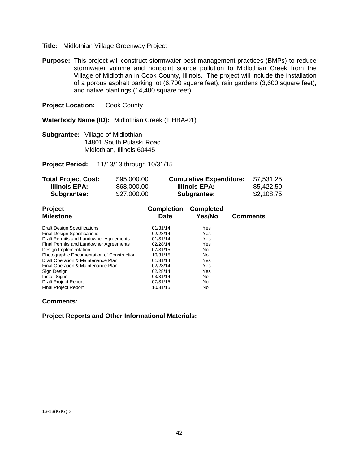## **Title:** Midlothian Village Greenway Project

**Purpose:** This project will construct stormwater best management practices (BMPs) to reduce stormwater volume and nonpoint source pollution to Midlothian Creek from the Village of Midlothian in Cook County, Illinois. The project will include the installation of a porous asphalt parking lot (6,700 square feet), rain gardens (3,600 square feet), and native plantings (14,400 square feet).

**Project Location:** Cook County

**Waterbody Name (ID):** Midlothian Creek (ILHBA-01)

**Subgrantee:** Village of Midlothian 14801 South Pulaski Road Midlothian, Illinois 60445

**Project Period:** 11/13/13 through 10/31/15

| <b>Total Project Cost:</b> | \$95,000.00 | <b>Cumulative Expenditure:</b> | \$7,531.25 |
|----------------------------|-------------|--------------------------------|------------|
| Illinois EPA:              | \$68,000.00 | Illinois EPA:                  | \$5,422.50 |
| Subgrantee:                | \$27,000.00 | Subgrantee:                    | \$2,108.75 |

| <b>Project</b>                             | <b>Completion</b> | <b>Completed</b> |                 |
|--------------------------------------------|-------------------|------------------|-----------------|
| <b>Milestone</b>                           | <b>Date</b>       | Yes/No           | <b>Comments</b> |
| <b>Draft Design Specifications</b>         | 01/31/14          | Yes              |                 |
| <b>Final Design Specifications</b>         | 02/28/14          | Yes              |                 |
| Draft Permits and Landowner Agreements     | 01/31/14          | Yes              |                 |
| Final Permits and Landowner Agreements     | 02/28/14          | Yes              |                 |
| Design Implementation                      | 07/31/15          | No               |                 |
| Photographic Documentation of Construction | 10/31/15          | No               |                 |
| Draft Operation & Maintenance Plan         | 01/31/14          | Yes              |                 |
| Final Operation & Maintenance Plan         | 02/28/14          | Yes              |                 |
| Sign Design                                | 02/28/14          | Yes              |                 |
| <b>Install Signs</b>                       | 03/31/14          | No               |                 |
| Draft Project Report                       | 07/31/15          | No               |                 |
| <b>Final Project Report</b>                | 10/31/15          | No               |                 |

# **Comments:**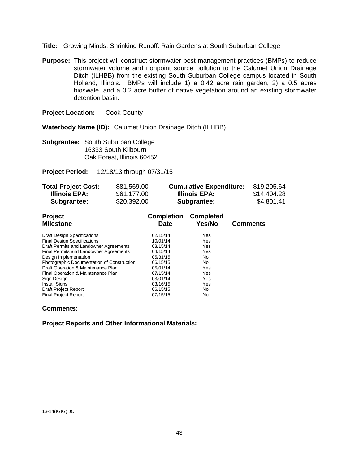- **Title:** Growing Minds, Shrinking Runoff: Rain Gardens at South Suburban College
- **Purpose:** This project will construct stormwater best management practices (BMPs) to reduce stormwater volume and nonpoint source pollution to the Calumet Union Drainage Ditch (ILHBB) from the existing South Suburban College campus located in South Holland, Illinois. BMPs will include 1) a 0.42 acre rain garden, 2) a 0.5 acres bioswale, and a 0.2 acre buffer of native vegetation around an existing stormwater detention basin.

**Waterbody Name (ID):** Calumet Union Drainage Ditch (ILHBB)

**Subgrantee:** South Suburban College 16333 South Kilbourn Oak Forest, Illinois 60452

**Project Period:** 12/18/13 through 07/31/15

| <b>Total Project Cost:</b> | \$81,569.00 | <b>Cumulative Expenditure:</b> | \$19,205.64 |
|----------------------------|-------------|--------------------------------|-------------|
| Illinois EPA:              | \$61,177.00 | Illinois EPA:                  | \$14,404.28 |
| Subgrantee:                | \$20,392.00 | Subgrantee:                    | \$4,801.41  |

| Project                                    | <b>Completion</b> | <b>Completed</b> |                 |
|--------------------------------------------|-------------------|------------------|-----------------|
| <b>Milestone</b>                           | <b>Date</b>       | Yes/No           | <b>Comments</b> |
| <b>Draft Design Specifications</b>         | 02/15/14          | Yes              |                 |
| <b>Final Design Specifications</b>         | 10/01/14          | Yes              |                 |
| Draft Permits and Landowner Agreements     | 03/15/14          | Yes              |                 |
| Final Permits and Landowner Agreements     | 04/15/14          | Yes              |                 |
| Design Implementation                      | 05/31/15          | No               |                 |
| Photographic Documentation of Construction | 06/15/15          | No               |                 |
| Draft Operation & Maintenance Plan         | 05/01/14          | Yes              |                 |
| Final Operation & Maintenance Plan         | 07/15/14          | Yes              |                 |
| Sign Design                                | 03/01/14          | Yes              |                 |
| <b>Install Signs</b>                       | 03/16/15          | Yes              |                 |
| <b>Draft Project Report</b>                | 06/15/15          | No               |                 |
| <b>Final Project Report</b>                | 07/15/15          | No               |                 |

# **Comments:**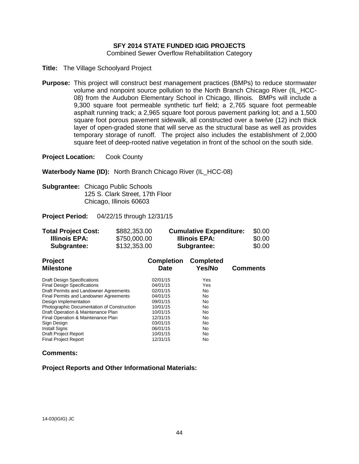# **SFY 2014 STATE FUNDED IGIG PROJECTS**

Combined Sewer Overflow Rehabilitation Category

**Title:** The Village Schoolyard Project

**Purpose:** This project will construct best management practices (BMPs) to reduce stormwater volume and nonpoint source pollution to the North Branch Chicago River (IL\_HCC-08) from the Audubon Elementary School in Chicago, Illinois. BMPs will include a 9,300 square foot permeable synthetic turf field; a 2,765 square foot permeable asphalt running track; a 2,965 square foot porous pavement parking lot; and a 1,500 square foot porous pavement sidewalk, all constructed over a twelve (12) inch thick layer of open-graded stone that will serve as the structural base as well as provides temporary storage of runoff. The project also includes the establishment of 2,000 square feet of deep-rooted native vegetation in front of the school on the south side.

**Project Location:** Cook County

**Waterbody Name (ID):** North Branch Chicago River (IL\_HCC-08)

**Subgrantee:** Chicago Public Schools 125 S. Clark Street, 17th Floor Chicago, Illinois 60603

**Project Period:** 04/22/15 through 12/31/15

| <b>Total Project Cost:</b> | \$882,353.00 | <b>Cumulative Expenditure:</b> | \$0.00 |
|----------------------------|--------------|--------------------------------|--------|
| Illinois EPA:              | \$750,000.00 | Illinois EPA:                  | \$0.00 |
| Subgrantee:                | \$132,353.00 | Subgrantee:                    | \$0.00 |

| <b>Project</b><br><b>Milestone</b>         | <b>Completion</b><br><b>Date</b> | <b>Completed</b><br>Yes/No | <b>Comments</b> |
|--------------------------------------------|----------------------------------|----------------------------|-----------------|
| <b>Draft Design Specifications</b>         | 02/01/15                         | Yes                        |                 |
| <b>Final Design Specifications</b>         | 04/01/15                         | Yes                        |                 |
| Draft Permits and Landowner Agreements     | 02/01/15                         | No                         |                 |
| Final Permits and Landowner Agreements     | 04/01/15                         | No                         |                 |
| Design Implementation                      | 09/01/15                         | No                         |                 |
| Photographic Documentation of Construction | 10/01/15                         | No                         |                 |
| Draft Operation & Maintenance Plan         | 10/01/15                         | No                         |                 |
| Final Operation & Maintenance Plan         | 12/31/15                         | No                         |                 |
| Sign Design                                | 03/01/15                         | No                         |                 |
| <b>Install Signs</b>                       | 06/01/15                         | No                         |                 |
| Draft Project Report                       | 10/01/15                         | No                         |                 |
| <b>Final Project Report</b>                | 12/31/15                         | No                         |                 |

#### **Comments:**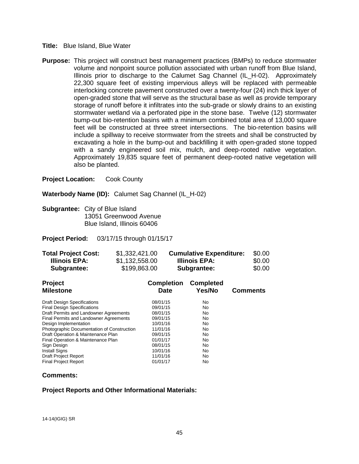#### **Title:** Blue Island, Blue Water

**Purpose:** This project will construct best management practices (BMPs) to reduce stormwater volume and nonpoint source pollution associated with urban runoff from Blue Island, Illinois prior to discharge to the Calumet Sag Channel (IL\_H-02). Approximately 22,300 square feet of existing impervious alleys will be replaced with permeable interlocking concrete pavement constructed over a twenty-four (24) inch thick layer of open-graded stone that will serve as the structural base as well as provide temporary storage of runoff before it infiltrates into the sub-grade or slowly drains to an existing stormwater wetland via a perforated pipe in the stone base. Twelve (12) stormwater bump-out bio-retention basins with a minimum combined total area of 13,000 square feet will be constructed at three street intersections. The bio-retention basins will include a spillway to receive stormwater from the streets and shall be constructed by excavating a hole in the bump-out and backfilling it with open-graded stone topped with a sandy engineered soil mix, mulch, and deep-rooted native vegetation. Approximately 19,835 square feet of permanent deep-rooted native vegetation will also be planted.

**Project Location:** Cook County

Waterbody Name (ID): Calumet Sag Channel (IL H-02)

**Subgrantee:** City of Blue Island 13051 Greenwood Avenue Blue Island, Illinois 60406

#### **Project Period:** 03/17/15 through 01/15/17

| <b>Total Project Cost:</b> | \$1,332,421.00 | <b>Cumulative Expenditure:</b> | \$0.00 |
|----------------------------|----------------|--------------------------------|--------|
| Illinois EPA:              | \$1,132,558.00 | Illinois EPA:                  | \$0.00 |
| Subgrantee:                | \$199,863.00   | Subgrantee:                    | \$0.00 |

| <b>Project</b><br><b>Milestone</b>         | <b>Completion</b><br>Date | <b>Completed</b><br>Yes/No | <b>Comments</b> |
|--------------------------------------------|---------------------------|----------------------------|-----------------|
| <b>Draft Design Specifications</b>         | 08/01/15                  | No                         |                 |
| <b>Final Design Specifications</b>         | 09/01/15                  | No                         |                 |
| Draft Permits and Landowner Agreements     | 08/01/15                  | No                         |                 |
| Final Permits and Landowner Agreements     | 09/01/15                  | No                         |                 |
| Design Implementation                      | 10/01/16                  | No                         |                 |
| Photographic Documentation of Construction | 11/01/16                  | No                         |                 |
| Draft Operation & Maintenance Plan         | 09/01/15                  | No                         |                 |
| Final Operation & Maintenance Plan         | 01/01/17                  | No                         |                 |
| Sign Design                                | 08/01/15                  | No                         |                 |
| <b>Install Signs</b>                       | 10/01/16                  | No                         |                 |
| <b>Draft Project Report</b>                | 11/01/16                  | No                         |                 |
| <b>Final Project Report</b>                | 01/01/17                  | No                         |                 |

#### **Comments:**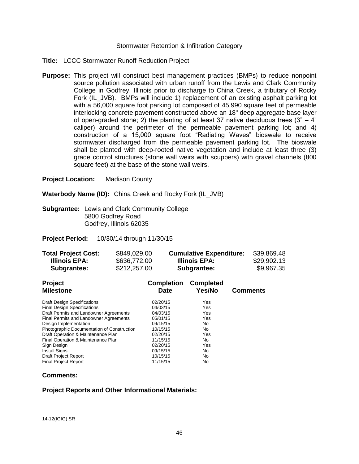#### Stormwater Retention & Infiltration Category

- **Title:** LCCC Stormwater Runoff Reduction Project
- **Purpose:** This project will construct best management practices (BMPs) to reduce nonpoint source pollution associated with urban runoff from the Lewis and Clark Community College in Godfrey, Illinois prior to discharge to China Creek, a tributary of Rocky Fork (IL\_JVB). BMPs will include 1) replacement of an existing asphalt parking lot with a 56,000 square foot parking lot composed of 45,990 square feet of permeable interlocking concrete pavement constructed above an 18" deep aggregate base layer of open-graded stone; 2) the planting of at least 37 native deciduous trees  $(3<sup>n</sup> - 4<sup>n</sup>)$ caliper) around the perimeter of the permeable pavement parking lot; and 4) construction of a 15,000 square foot "Radiating Waves" bioswale to receive stormwater discharged from the permeable pavement parking lot. The bioswale shall be planted with deep-rooted native vegetation and include at least three (3) grade control structures (stone wall weirs with scuppers) with gravel channels (800 square feet) at the base of the stone wall weirs.

**Project Location:** Madison County

**Waterbody Name (ID):** China Creek and Rocky Fork (IL\_JVB)

**Subgrantee:** Lewis and Clark Community College 5800 Godfrey Road Godfrey, Illinois 62035

**Project Period:** 10/30/14 through 11/30/15

| <b>Total Project Cost:</b> | \$849,029.00 | <b>Cumulative Expenditure:</b> | \$39,869.48 |
|----------------------------|--------------|--------------------------------|-------------|
| Illinois EPA:              | \$636,772.00 | Illinois EPA:                  | \$29,902.13 |
| Subgrantee:                | \$212,257.00 | Subgrantee:                    | \$9,967.35  |

| <b>Project</b><br><b>Milestone</b>                                           | <b>Completion</b><br><b>Date</b> | <b>Completed</b><br>Yes/No | <b>Comments</b> |
|------------------------------------------------------------------------------|----------------------------------|----------------------------|-----------------|
| <b>Draft Design Specifications</b>                                           | 02/20/15                         | Yes                        |                 |
| <b>Final Design Specifications</b><br>Draft Permits and Landowner Agreements | 04/03/15<br>04/03/15             | Yes<br>Yes                 |                 |
| Final Permits and Landowner Agreements                                       | 05/01/15                         | Yes                        |                 |
| Design Implementation<br>Photographic Documentation of Construction          | 09/15/15<br>10/15/15             | No.<br>No                  |                 |
| Draft Operation & Maintenance Plan                                           | 02/20/15                         | Yes                        |                 |
| Final Operation & Maintenance Plan<br>Sign Design                            | 11/15/15<br>02/20/15             | No<br>Yes                  |                 |
| <b>Install Signs</b>                                                         | 09/15/15                         | No.                        |                 |
| <b>Draft Project Report</b>                                                  | 10/15/15                         | No                         |                 |
| <b>Final Project Report</b>                                                  | 11/15/15                         | No                         |                 |

# **Comments:**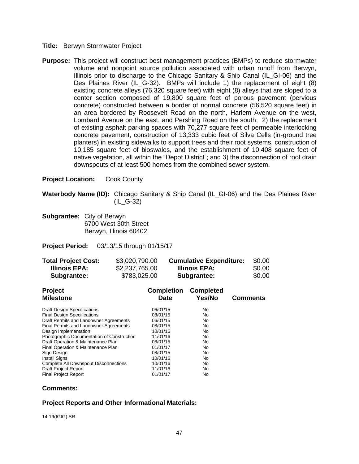#### **Title:** Berwyn Stormwater Project

**Purpose:** This project will construct best management practices (BMPs) to reduce stormwater volume and nonpoint source pollution associated with urban runoff from Berwyn, Illinois prior to discharge to the Chicago Sanitary & Ship Canal (IL\_GI-06) and the Des Plaines River (IL G-32). BMPs will include 1) the replacement of eight (8) existing concrete alleys (76,320 square feet) with eight (8) alleys that are sloped to a center section composed of 19,800 square feet of porous pavement (pervious concrete) constructed between a border of normal concrete (56,520 square feet) in an area bordered by Roosevelt Road on the north, Harlem Avenue on the west, Lombard Avenue on the east, and Pershing Road on the south; 2) the replacement of existing asphalt parking spaces with 70,277 square feet of permeable interlocking concrete pavement, construction of 13,333 cubic feet of Silva Cells (in-ground tree planters) in existing sidewalks to support trees and their root systems, construction of 10,185 square feet of bioswales, and the establishment of 10,408 square feet of native vegetation, all within the "Depot District"; and 3) the disconnection of roof drain downspouts of at least 500 homes from the combined sewer system.

**Project Location:** Cook County

**Waterbody Name (ID):** Chicago Sanitary & Ship Canal (IL\_GI-06) and the Des Plaines River (IL\_G-32)

**Subgrantee:** City of Berwyn 6700 West 30th Street Berwyn, Illinois 60402

**Project Period:** 03/13/15 through 01/15/17

| <b>Total Project Cost:</b> | \$3,020,790.00 | <b>Cumulative Expenditure:</b> | \$0.00 |
|----------------------------|----------------|--------------------------------|--------|
| Illinois EPA:              | \$2,237,765.00 | Illinois EPA:                  | \$0.00 |
| <b>Subgrantee:</b>         | \$783,025.00   | Subgrantee:                    | \$0.00 |

| <b>Project</b>                             | <b>Completion</b> | <b>Completed</b> |                 |
|--------------------------------------------|-------------------|------------------|-----------------|
| <b>Milestone</b>                           | Date              | Yes/No           | <b>Comments</b> |
| <b>Draft Design Specifications</b>         | 06/01/15          | No               |                 |
| <b>Final Design Specifications</b>         | 08/01/15          | No               |                 |
| Draft Permits and Landowner Agreements     | 06/01/15          | No               |                 |
| Final Permits and Landowner Agreements     | 08/01/15          | No               |                 |
| Design Implementation                      | 10/01/16          | No               |                 |
| Photographic Documentation of Construction | 11/01/16          | No               |                 |
| Draft Operation & Maintenance Plan         | 08/01/15          | No               |                 |
| Final Operation & Maintenance Plan         | 01/01/17          | No               |                 |
| Sign Design                                | 08/01/15          | No               |                 |
| <b>Install Signs</b>                       | 10/01/16          | No               |                 |
| Complete All Downspout Disconnections      | 10/01/16          | No               |                 |
| <b>Draft Project Report</b>                | 11/01/16          | No               |                 |
| <b>Final Project Report</b>                | 01/01/17          | No               |                 |

# **Comments:**

# **Project Reports and Other Informational Materials:**

14-19(IGIG) SR